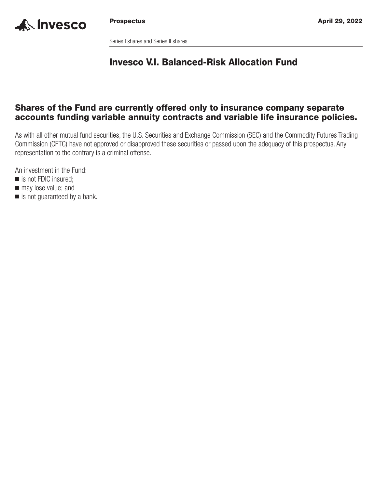

Series I shares and Series II shares

## **Invesco V.I. Balanced-Risk Allocation Fund**

## **Shares of the Fund are currently offered only to insurance company separate accounts funding variable annuity contracts and variable life insurance policies.**

As with all other mutual fund securities, the U.S. Securities and Exchange Commission (SEC) and the Commodity Futures Trading Commission (CFTC) have not approved or disapproved these securities or passed upon the adequacy of this prospectus. Any representation to the contrary is a criminal offense.

An investment in the Fund:

- is not FDIC insured;
- $\blacksquare$  may lose value; and
- is not guaranteed by a bank.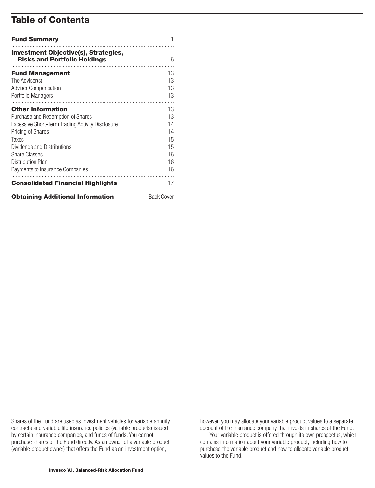## **Table of Contents**

| <b>Fund Summary</b>                                                                                                                                                                                                                                                          |                                                    |
|------------------------------------------------------------------------------------------------------------------------------------------------------------------------------------------------------------------------------------------------------------------------------|----------------------------------------------------|
| <b>Investment Objective(s), Strategies,</b><br><b>Risks and Portfolio Holdings</b>                                                                                                                                                                                           | 6                                                  |
| <b>Fund Management</b><br>The Adviser(s)<br><b>Adviser Compensation</b><br>Portfolio Managers                                                                                                                                                                                | 13<br>13<br>13<br>13                               |
| <b>Other Information</b><br>Purchase and Redemption of Shares<br>Excessive Short-Term Trading Activity Disclosure<br><b>Pricing of Shares</b><br>Taxes<br>Dividends and Distributions<br><b>Share Classes</b><br><b>Distribution Plan</b><br>Payments to Insurance Companies | 13<br>13<br>14<br>14<br>15<br>15<br>16<br>16<br>16 |
| <b>Consolidated Financial Highlights</b>                                                                                                                                                                                                                                     | 17                                                 |
| <b>Obtaining Additional Information</b>                                                                                                                                                                                                                                      | <b>Back Cover</b>                                  |

Shares of the Fund are used as investment vehicles for variable annuity contracts and variable life insurance policies (variable products) issued by certain insurance companies, and funds of funds. You cannot purchase shares of the Fund directly. As an owner of a variable product (variable product owner) that offers the Fund as an investment option,

however, you may allocate your variable product values to a separate account of the insurance company that invests in shares of the Fund.

Your variable product is offered through its own prospectus, which contains information about your variable product, including how to purchase the variable product and how to allocate variable product values to the Fund.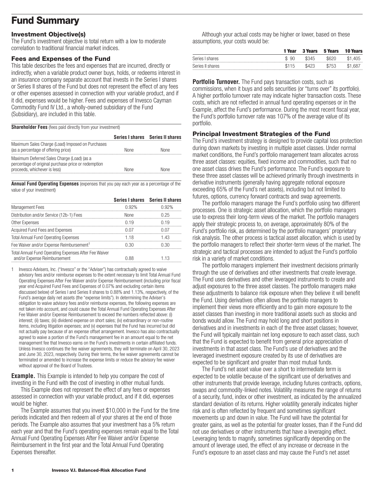## <span id="page-2-0"></span>**Fund Summary**

## **Investment Objective(s)**

The Fund's investment objective is total return with a low to moderate correlation to traditional financial market indices.

#### **Fees and Expenses of the Fund**

This table describes the fees and expenses that are incurred, directly or indirectly, when a variable product owner buys, holds, or redeems interest in an insurance company separate account that invests in the Series I shares or Series II shares of the Fund but does not represent the effect of any fees or other expenses assessed in connection with your variable product, and if it did, expenses would be higher. Fees and expenses of Invesco Cayman Commodity Fund IV Ltd., a wholly-owned subsidiary of the Fund (Subsidiary), are included in this table.

**Shareholder Fees** (fees paid directly from your investment)

|                                                                                                                                   |             | Series I shares Series II shares |
|-----------------------------------------------------------------------------------------------------------------------------------|-------------|----------------------------------|
| Maximum Sales Charge (Load) Imposed on Purchases<br>(as a percentage of offering price)                                           | <b>None</b> | <b>None</b>                      |
| Maximum Deferred Sales Charge (Load) (as a<br>percentage of original purchase price or redemption<br>proceeds, whichever is less) | <b>None</b> | None                             |

**Annual Fund Operating Expenses** (expenses that you pay each year as a percentage of the value of your investment)

|                                                                                       | <b>Series I shares</b> | <b>Series II shares</b> |
|---------------------------------------------------------------------------------------|------------------------|-------------------------|
| <b>Management Fees</b>                                                                | 0.92%                  | 0.92%                   |
| Distribution and/or Service (12b-1) Fees                                              | <b>None</b>            | 0.25                    |
| Other Expenses                                                                        | 0.19                   | 0.19                    |
| Acquired Fund Fees and Expenses                                                       | 0.07                   | 0.07                    |
| <b>Total Annual Fund Operating Expenses</b>                                           | 1.18                   | 1.43                    |
| Fee Waiver and/or Expense Reimbursement <sup>1</sup>                                  | 0.30                   | 0.30                    |
| Total Annual Fund Operating Expenses After Fee Waiver<br>and/or Expense Reimbursement | 0.88                   | 1.13                    |

1 Invesco Advisers, Inc. ("Invesco" or the "Adviser") has contractually agreed to waive advisory fees and/or reimburse expenses to the extent necessary to limit Total Annual Fund Operating Expenses After Fee Waiver and/or Expense Reimbursement (including prior fiscal year end Acquired Fund Fees and Expenses of 0.07% and excluding certain items discussed below) of Series I and Series II shares to 0.88% and 1.13%, respectively, of the Fund's average daily net assets (the "expense limits"). In determining the Adviser's obligation to waive advisory fees and/or reimburse expenses, the following expenses are not taken into account, and could cause the Total Annual Fund Operating Expenses After Fee Waiver and/or Expense Reimbursement to exceed the numbers reflected above: (i) interest; (ii) taxes; (iii) dividend expense on short sales; (iv) extraordinary or non-routine items, including litigation expenses; and (v) expenses that the Fund has incurred but did not actually pay because of an expense offset arrangement. Invesco has also contractually agreed to waive a portion of the Fund's management fee in an amount equal to the net management fee that Invesco earns on the Fund's investments in certain affiliated funds. Unless Invesco continues the fee waiver agreements, they will terminate on April 30, 2023 and June 30, 2023, respectively. During their terms, the fee waiver agreements cannot be terminated or amended to increase the expense limits or reduce the advisory fee waiver without approval of the Board of Trustees.

**Example.** This Example is intended to help you compare the cost of investing in the Fund with the cost of investing in other mutual funds.

This Example does not represent the effect of any fees or expenses assessed in connection with your variable product, and if it did, expenses would be higher.

The Example assumes that you invest \$10,000 in the Fund for the time periods indicated and then redeem all of your shares at the end of those periods. The Example also assumes that your investment has a 5% return each year and that the Fund's operating expenses remain equal to the Total Annual Fund Operating Expenses After Fee Waiver and/or Expense Reimbursement in the first year and the Total Annual Fund Operating Expenses thereafter.

Although your actual costs may be higher or lower, based on these assumptions, your costs would be:

|                  | 1 Year    | <b>3 Years</b> | 5 Years | <b>10 Years</b> |
|------------------|-----------|----------------|---------|-----------------|
| Series I shares  | -90<br>S. | \$345          | \$620   | \$1.405         |
| Series II shares | \$115     | \$423          | \$753   | \$1.687         |

**Portfolio Turnover.** The Fund pays transaction costs, such as commissions, when it buys and sells securities (or "turns over" its portfolio). A higher portfolio turnover rate may indicate higher transaction costs. These costs, which are not reflected in annual fund operating expenses or in the Example, affect the Fund's performance. During the most recent fiscal year, the Fund's portfolio turnover rate was 107% of the average value of its portfolio.

## **Principal Investment Strategies of the Fund**

The Fund's investment strategy is designed to provide capital loss protection during down markets by investing in multiple asset classes. Under normal market conditions, the Fund's portfolio management team allocates across three asset classes: equities, fixed income and commodities, such that no one asset class drives the Fund's performance. The Fund's exposure to these three asset classes will be achieved primarily through investments in derivative instruments (generally having aggregate notional exposure exceeding 65% of the Fund's net assets), including but not limited to futures, options, currency forward contracts and swap agreements.

The portfolio managers manage the Fund's portfolio using two different processes. One is strategic asset allocation, which the portfolio managers use to express their long-term views of the market. The portfolio managers apply their strategic process to, on average, approximately 80% of the Fund's portfolio risk, as determined by the portfolio managers' proprietary risk analysis. The other process is tactical asset allocation, which is used by the portfolio managers to reflect their shorter-term views of the market. The strategic and tactical processes are intended to adjust the Fund's portfolio risk in a variety of market conditions.

The portfolio managers implement their investment decisions primarily through the use of derivatives and other investments that create leverage. The Fund uses derivatives and other leveraged instruments to create and adjust exposures to the three asset classes. The portfolio managers make these adjustments to balance risk exposure when they believe it will benefit the Fund. Using derivatives often allows the portfolio managers to implement their views more efficiently and to gain more exposure to the asset classes than investing in more traditional assets such as stocks and bonds would allow. The Fund may hold long and short positions in derivatives and in investments in each of the three asset classes; however, the Fund will typically maintain net long exposure to each asset class, such that the Fund is expected to benefit from general price appreciation of investments in that asset class. The Fund's use of derivatives and the leveraged investment exposure created by its use of derivatives are expected to be significant and greater than most mutual funds.

The Fund's net asset value over a short to intermediate term is expected to be volatile because of the significant use of derivatives and other instruments that provide leverage, including futures contracts, options, swaps and commodity-linked notes. Volatility measures the range of returns of a security, fund, index or other investment, as indicated by the annualized standard deviation of its returns. Higher volatility generally indicates higher risk and is often reflected by frequent and sometimes significant movements up and down in value. The Fund will have the potential for greater gains, as well as the potential for greater losses, than if the Fund did not use derivatives or other instruments that have a leveraging effect. Leveraging tends to magnify, sometimes significantly depending on the amount of leverage used, the effect of any increase or decrease in the Fund's exposure to an asset class and may cause the Fund's net asset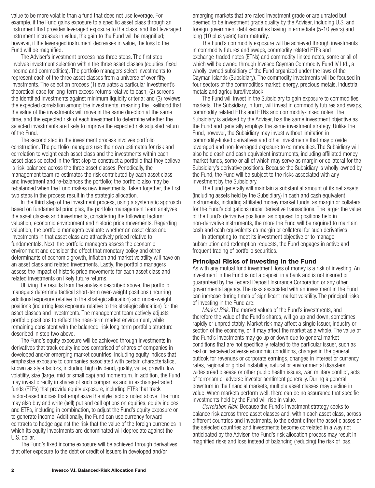value to be more volatile than a fund that does not use leverage. For example, if the Fund gains exposure to a specific asset class through an instrument that provides leveraged exposure to the class, and that leveraged instrument increases in value, the gain to the Fund will be magnified; however, if the leveraged instrument decreases in value, the loss to the Fund will be magnified.

The Adviser's investment process has three steps. The first step involves investment selection within the three asset classes (equities, fixed income and commodities). The portfolio managers select investments to represent each of the three asset classes from a universe of over fifty investments. The selection process (1) evaluates a particular investment's theoretical case for long-term excess returns relative to cash; (2) screens the identified investments against minimum liquidity criteria; and (3) reviews the expected correlation among the investments, meaning the likelihood that the value of the investments will move in the same direction at the same time, and the expected risk of each investment to determine whether the selected investments are likely to improve the expected risk adjusted return of the Fund.

The second step in the investment process involves portfolio construction. The portfolio managers use their own estimates for risk and correlation to weight each asset class and the investments within each asset class selected in the first step to construct a portfolio that they believe is risk-balanced across the three asset classes. Periodically, the management team re-estimates the risk contributed by each asset class and investment and re-balances the portfolio; the portfolio also may be rebalanced when the Fund makes new investments. Taken together, the first two steps in the process result in the strategic allocation.

In the third step of the investment process, using a systematic approach based on fundamental principles, the portfolio management team analyzes the asset classes and investments, considering the following factors: valuation, economic environment and historic price movements. Regarding valuation, the portfolio managers evaluate whether an asset class and investments in that asset class are attractively priced relative to fundamentals. Next, the portfolio managers assess the economic environment and consider the effect that monetary policy and other determinants of economic growth, inflation and market volatility will have on an asset class and related investments. Lastly, the portfolio managers assess the impact of historic price movements for each asset class and related investments on likely future returns.

Utilizing the results from the analysis described above, the portfolio managers determine tactical short-term over-weight positions (incurring additional exposure relative to the strategic allocation) and under-weight positions (incurring less exposure relative to the strategic allocation) for the asset classes and investments. The management team actively adjusts portfolio positions to reflect the near-term market environment, while remaining consistent with the balanced-risk long-term portfolio structure described in step two above.

The Fund's equity exposure will be achieved through investments in derivatives that track equity indices comprised of shares of companies in developed and/or emerging market countries, including equity indices that emphasize exposure to companies associated with certain characteristics, known as style factors, including high dividend, quality, value, growth, low volatility, size (large, mid or small cap) and momentum. In addition, the Fund may invest directly in shares of such companies and in exchange-traded funds (ETFs) that provide equity exposure, including ETFs that track factor-based indices that emphasize the style factors noted above. The Fund may also buy and write (sell) put and call options on equities, equity indices and ETFs, including in combination, to adjust the Fund's equity exposure or to generate income. Additionally, the Fund can use currency forward contracts to hedge against the risk that the value of the foreign currencies in which its equity investments are denominated will depreciate against the U.S. dollar.

The Fund's fixed income exposure will be achieved through derivatives that offer exposure to the debt or credit of issuers in developed and/or

emerging markets that are rated investment grade or are unrated but deemed to be investment grade quality by the Adviser, including U.S. and foreign government debt securities having intermediate (5-10 years) and long (10 plus years) term maturity.

The Fund's commodity exposure will be achieved through investments in commodity futures and swaps, commodity related ETFs and exchange-traded notes (ETNs) and commodity-linked notes, some or all of which will be owned through Invesco Cayman Commodity Fund IV Ltd., a wholly-owned subsidiary of the Fund organized under the laws of the Cayman Islands (Subsidiary). The commodity investments will be focused in four sectors of the commodities market: energy, precious metals, industrial metals and agriculture/livestock.

The Fund will invest in the Subsidiary to gain exposure to commodities markets. The Subsidiary, in turn, will invest in commodity futures and swaps, commodity related ETFs and ETNs and commodity-linked notes. The Subsidiary is advised by the Adviser, has the same investment objective as the Fund and generally employs the same investment strategy. Unlike the Fund, however, the Subsidiary may invest without limitation in commodity-linked derivatives and other investments that may provide leveraged and non-leveraged exposure to commodities. The Subsidiary will also hold cash and cash equivalent instruments, including affiliated money market funds, some or all of which may serve as margin or collateral for the Subsidiary's derivative positions. Because the Subsidiary is wholly-owned by the Fund, the Fund will be subject to the risks associated with any investment by the Subsidiary.

The Fund generally will maintain a substantial amount of its net assets (including assets held by the Subsidiary) in cash and cash equivalent instruments, including affiliated money market funds, as margin or collateral for the Fund's obligations under derivative transactions. The larger the value of the Fund's derivative positions, as opposed to positions held in non-derivative instruments, the more the Fund will be required to maintain cash and cash equivalents as margin or collateral for such derivatives.

In attempting to meet its investment objective or to manage subscription and redemption requests, the Fund engages in active and frequent trading of portfolio securities.

## **Principal Risks of Investing in the Fund**

As with any mutual fund investment, loss of money is a risk of investing. An investment in the Fund is not a deposit in a bank and is not insured or guaranteed by the Federal Deposit Insurance Corporation or any other governmental agency. The risks associated with an investment in the Fund can increase during times of significant market volatility. The principal risks of investing in the Fund are:

*Market Risk.* The market values of the Fund's investments, and therefore the value of the Fund's shares, will go up and down, sometimes rapidly or unpredictably. Market risk may affect a single issuer, industry or section of the economy, or it may affect the market as a whole. The value of the Fund's investments may go up or down due to general market conditions that are not specifically related to the particular issuer, such as real or perceived adverse economic conditions, changes in the general outlook for revenues or corporate earnings, changes in interest or currency rates, regional or global instability, natural or environmental disasters, widespread disease or other public health issues, war, military conflict, acts of terrorism or adverse investor sentiment generally. During a general downturn in the financial markets, multiple asset classes may decline in value. When markets perform well, there can be no assurance that specific investments held by the Fund will rise in value.

*Correlation Risk.* Because the Fund's investment strategy seeks to balance risk across three asset classes and, within each asset class, across different countries and investments, to the extent either the asset classes or the selected countries and investments become correlated in a way not anticipated by the Adviser, the Fund's risk allocation process may result in magnified risks and loss instead of balancing (reducing) the risk of loss.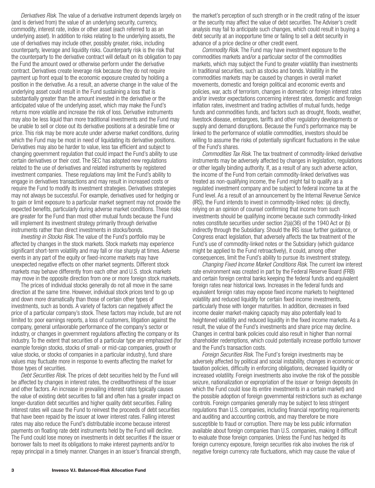*Derivatives Risk.* The value of a derivative instrument depends largely on (and is derived from) the value of an underlying security, currency, commodity, interest rate, index or other asset (each referred to as an underlying asset). In addition to risks relating to the underlying assets, the use of derivatives may include other, possibly greater, risks, including counterparty, leverage and liquidity risks. Counterparty risk is the risk that the counterparty to the derivative contract will default on its obligation to pay the Fund the amount owed or otherwise perform under the derivative contract. Derivatives create leverage risk because they do not require payment up front equal to the economic exposure created by holding a position in the derivative. As a result, an adverse change in the value of the underlying asset could result in the Fund sustaining a loss that is substantially greater than the amount invested in the derivative or the anticipated value of the underlying asset, which may make the Fund's returns more volatile and increase the risk of loss. Derivative instruments may also be less liquid than more traditional investments and the Fund may be unable to sell or close out its derivative positions at a desirable time or price. This risk may be more acute under adverse market conditions, during which the Fund may be most in need of liquidating its derivative positions. Derivatives may also be harder to value, less tax efficient and subject to changing government regulation that could impact the Fund's ability to use certain derivatives or their cost. The SEC has adopted new regulations related to the use of derivatives and related instruments by registered investment companies. These regulations may limit the Fund's ability to engage in derivatives transactions and may result in increased costs or require the Fund to modify its investment strategies. Derivatives strategies may not always be successful. For example, derivatives used for hedging or to gain or limit exposure to a particular market segment may not provide the expected benefits, particularly during adverse market conditions. These risks are greater for the Fund than most other mutual funds because the Fund will implement its investment strategy primarily through derivative instruments rather than direct investments in stocks/bonds.

*Investing in Stocks Risk.* The value of the Fund's portfolio may be affected by changes in the stock markets. Stock markets may experience significant short-term volatility and may fall or rise sharply at times. Adverse events in any part of the equity or fixed-income markets may have unexpected negative effects on other market segments. Different stock markets may behave differently from each other and U.S. stock markets may move in the opposite direction from one or more foreign stock markets.

The prices of individual stocks generally do not all move in the same direction at the same time. However, individual stock prices tend to go up and down more dramatically than those of certain other types of investments, such as bonds. A variety of factors can negatively affect the price of a particular company's stock. These factors may include, but are not limited to: poor earnings reports, a loss of customers, litigation against the company, general unfavorable performance of the company's sector or industry, or changes in government regulations affecting the company or its industry. To the extent that securities of a particular type are emphasized (for example foreign stocks, stocks of small- or mid-cap companies, growth or value stocks, or stocks of companies in a particular industry), fund share values may fluctuate more in response to events affecting the market for those types of securities.

*Debt Securities Risk.* The prices of debt securities held by the Fund will be affected by changes in interest rates, the creditworthiness of the issuer and other factors. An increase in prevailing interest rates typically causes the value of existing debt securities to fall and often has a greater impact on longer-duration debt securities and higher quality debt securities. Falling interest rates will cause the Fund to reinvest the proceeds of debt securities that have been repaid by the issuer at lower interest rates. Falling interest rates may also reduce the Fund's distributable income because interest payments on floating rate debt instruments held by the Fund will decline. The Fund could lose money on investments in debt securities if the issuer or borrower fails to meet its obligations to make interest payments and/or to repay principal in a timely manner. Changes in an issuer's financial strength, the market's perception of such strength or in the credit rating of the issuer or the security may affect the value of debt securities. The Adviser's credit analysis may fail to anticipate such changes, which could result in buying a debt security at an inopportune time or failing to sell a debt security in advance of a price decline or other credit event.

*Commodity Risk.* The Fund may have investment exposure to the commodities markets and/or a particular sector of the commodities markets, which may subject the Fund to greater volatility than investments in traditional securities, such as stocks and bonds. Volatility in the commodities markets may be caused by changes in overall market movements, domestic and foreign political and economic events and policies, war, acts of terrorism, changes in domestic or foreign interest rates and/or investor expectations concerning interest rates, domestic and foreign inflation rates, investment and trading activities of mutual funds, hedge funds and commodities funds, and factors such as drought, floods, weather, livestock disease, embargoes, tariffs and other regulatory developments or supply and demand disruptions. Because the Fund's performance may be linked to the performance of volatile commodities, investors should be willing to assume the risks of potentially significant fluctuations in the value of the Fund's shares.

*Commodities Tax Risk.* The tax treatment of commodity-linked derivative instruments may be adversely affected by changes in legislation, regulations or other legally binding authority. If, as a result of any such adverse action, the income of the Fund from certain commodity-linked derivatives was treated as non-qualifying income, the Fund might fail to qualify as a regulated investment company and be subject to federal income tax at the Fund level. As a result of an announcement by the Internal Revenue Service (IRS), the Fund intends to invest in commodity-linked notes: (a) directly, relying on an opinion of counsel confirming that income from such investments should be qualifying income because such commodity-linked notes constitute securities under section 2(a)(36) of the 1940 Act or (b) indirectly through the Subsidiary. Should the IRS issue further guidance, or Congress enact legislation, that adversely affects the tax treatment of the Fund's use of commodity-linked notes or the Subsidiary (which guidance might be applied to the Fund retroactively), it could, among other consequences, limit the Fund's ability to pursue its investment strategy.

*Changing Fixed Income Market Conditions Risk.* The current low interest rate environment was created in part by the Federal Reserve Board (FRB) and certain foreign central banks keeping the federal funds and equivalent foreign rates near historical lows. Increases in the federal funds and equivalent foreign rates may expose fixed income markets to heightened volatility and reduced liquidity for certain fixed income investments, particularly those with longer maturities. In addition, decreases in fixed income dealer market-making capacity may also potentially lead to heightened volatility and reduced liquidity in the fixed income markets. As a result, the value of the Fund's investments and share price may decline. Changes in central bank policies could also result in higher than normal shareholder redemptions, which could potentially increase portfolio turnover and the Fund's transaction costs.

*Foreign Securities Risk.* The Fund's foreign investments may be adversely affected by political and social instability, changes in economic or taxation policies, difficulty in enforcing obligations, decreased liquidity or increased volatility. Foreign investments also involve the risk of the possible seizure, nationalization or expropriation of the issuer or foreign deposits (in which the Fund could lose its entire investments in a certain market) and the possible adoption of foreign governmental restrictions such as exchange controls. Foreign companies generally may be subject to less stringent regulations than U.S. companies, including financial reporting requirements and auditing and accounting controls, and may therefore be more susceptible to fraud or corruption. There may be less public information available about foreign companies than U.S. companies, making it difficult to evaluate those foreign companies. Unless the Fund has hedged its foreign currency exposure, foreign securities risk also involves the risk of negative foreign currency rate fluctuations, which may cause the value of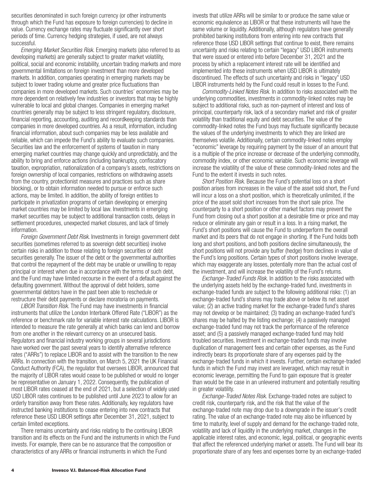securities denominated in such foreign currency (or other instruments through which the Fund has exposure to foreign currencies) to decline in value. Currency exchange rates may fluctuate significantly over short periods of time. Currency hedging strategies, if used, are not always successful.

*Emerging Market Securities Risk.* Emerging markets (also referred to as developing markets) are generally subject to greater market volatility, political, social and economic instability, uncertain trading markets and more governmental limitations on foreign investment than more developed markets. In addition, companies operating in emerging markets may be subject to lower trading volume and greater price fluctuations than companies in more developed markets. Such countries' economies may be more dependent on relatively few industries or investors that may be highly vulnerable to local and global changes. Companies in emerging market countries generally may be subject to less stringent regulatory, disclosure, financial reporting, accounting, auditing and recordkeeping standards than companies in more developed countries. As a result, information, including financial information, about such companies may be less available and reliable, which can impede the Fund's ability to evaluate such companies. Securities law and the enforcement of systems of taxation in many emerging market countries may change quickly and unpredictably, and the ability to bring and enforce actions (including bankruptcy, confiscatory taxation, expropriation, nationalization of a company's assets, restrictions on foreign ownership of local companies, restrictions on withdrawing assets from the country, protectionist measures and practices such as share blocking), or to obtain information needed to pursue or enforce such actions, may be limited. In addition, the ability of foreign entities to participate in privatization programs of certain developing or emerging market countries may be limited by local law. Investments in emerging market securities may be subject to additional transaction costs, delays in settlement procedures, unexpected market closures, and lack of timely information.

*Foreign Government Debt Risk.* Investments in foreign government debt securities (sometimes referred to as sovereign debt securities) involve certain risks in addition to those relating to foreign securities or debt securities generally. The issuer of the debt or the governmental authorities that control the repayment of the debt may be unable or unwilling to repay principal or interest when due in accordance with the terms of such debt, and the Fund may have limited recourse in the event of a default against the defaulting government. Without the approval of debt holders, some governmental debtors have in the past been able to reschedule or restructure their debt payments or declare moratoria on payments.

*LIBOR Transition Risk.* The Fund may have investments in financial instruments that utilize the London Interbank Offered Rate ("LIBOR") as the reference or benchmark rate for variable interest rate calculations. LIBOR is intended to measure the rate generally at which banks can lend and borrow from one another in the relevant currency on an unsecured basis. Regulators and financial industry working groups in several jurisdictions have worked over the past several years to identify alternative reference rates ("ARRs") to replace LIBOR and to assist with the transition to the new ARRs. In connection with the transition, on March 5, 2021 the UK Financial Conduct Authority (FCA), the regulator that oversees LIBOR, announced that the majority of LIBOR rates would cease to be published or would no longer be representative on January 1, 2022. Consequently, the publication of most LIBOR rates ceased at the end of 2021, but a selection of widely used USD LIBOR rates continues to be published until June 2023 to allow for an orderly transition away from these rates. Additionally, key regulators have instructed banking institutions to cease entering into new contracts that reference these USD LIBOR settings after December 31, 2021, subject to certain limited exceptions.

There remains uncertainty and risks relating to the continuing LIBOR transition and its effects on the Fund and the instruments in which the Fund invests. For example, there can be no assurance that the composition or characteristics of any ARRs or financial instruments in which the Fund

invests that utilize ARRs will be similar to or produce the same value or economic equivalence as LIBOR or that these instruments will have the same volume or liquidity. Additionally, although regulators have generally prohibited banking institutions from entering into new contracts that reference those USD LIBOR settings that continue to exist, there remains uncertainty and risks relating to certain "legacy" USD LIBOR instruments that were issued or entered into before December 31, 2021 and the process by which a replacement interest rate will be identified and implemented into these instruments when USD LIBOR is ultimately discontinued. The effects of such uncertainty and risks in "legacy" USD LIBOR instruments held by the Fund could result in losses to the Fund.

*Commodity-Linked Notes Risk.* In addition to risks associated with the underlying commodities, investments in commodity-linked notes may be subject to additional risks, such as non-payment of interest and loss of principal, counterparty risk, lack of a secondary market and risk of greater volatility than traditional equity and debt securities. The value of the commodity-linked notes the Fund buys may fluctuate significantly because the values of the underlying investments to which they are linked are themselves volatile. Additionally, certain commodity-linked notes employ "economic" leverage by requiring payment by the issuer of an amount that is a multiple of the price increase or decrease of the underlying commodity, commodity index, or other economic variable. Such economic leverage will increase the volatility of the value of these commodity-linked notes and the Fund to the extent it invests in such notes.

*Short Position Risk.* Because the Fund's potential loss on a short position arises from increases in the value of the asset sold short, the Fund will incur a loss on a short position, which is theoretically unlimited, if the price of the asset sold short increases from the short sale price. The counterparty to a short position or other market factors may prevent the Fund from closing out a short position at a desirable time or price and may reduce or eliminate any gain or result in a loss. In a rising market, the Fund's short positions will cause the Fund to underperform the overall market and its peers that do not engage in shorting. If the Fund holds both long and short positions, and both positions decline simultaneously, the short positions will not provide any buffer (hedge) from declines in value of the Fund's long positions. Certain types of short positions involve leverage, which may exaggerate any losses, potentially more than the actual cost of the investment, and will increase the volatility of the Fund's returns.

*Exchange-Traded Funds Risk.* In addition to the risks associated with the underlying assets held by the exchange-traded fund, investments in exchange-traded funds are subject to the following additional risks: (1) an exchange-traded fund's shares may trade above or below its net asset value; (2) an active trading market for the exchange-traded fund's shares may not develop or be maintained; (3) trading an exchange-traded fund's shares may be halted by the listing exchange; (4) a passively managed exchange-traded fund may not track the performance of the reference asset; and (5) a passively managed exchange-traded fund may hold troubled securities. Investment in exchange-traded funds may involve duplication of management fees and certain other expenses, as the Fund indirectly bears its proportionate share of any expenses paid by the exchange-traded funds in which it invests. Further, certain exchange-traded funds in which the Fund may invest are leveraged, which may result in economic leverage, permitting the Fund to gain exposure that is greater than would be the case in an unlevered instrument and potentially resulting in greater volatility.

*Exchange-Traded Notes Risk.* Exchange-traded notes are subject to credit risk, counterparty risk, and the risk that the value of the exchange-traded note may drop due to a downgrade in the issuer's credit rating. The value of an exchange-traded note may also be influenced by time to maturity, level of supply and demand for the exchange-traded note, volatility and lack of liquidity in the underlying market, changes in the applicable interest rates, and economic, legal, political, or geographic events that affect the referenced underlying market or assets. The Fund will bear its proportionate share of any fees and expenses borne by an exchange-traded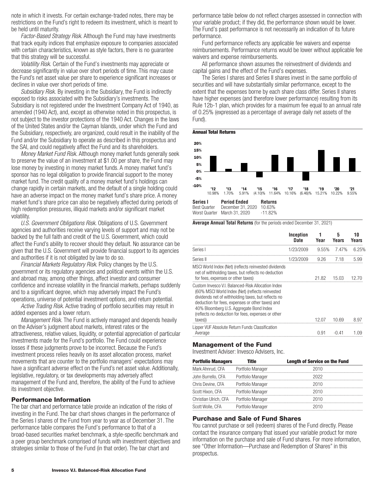note in which it invests. For certain exchange-traded notes, there may be restrictions on the Fund's right to redeem its investment, which is meant to be held until maturity.

*Factor-Based Strategy Risk.* Although the Fund may have investments that track equity indices that emphasize exposure to companies associated with certain characteristics, known as style factors, there is no guarantee that this strategy will be successful.

*Volatility Risk.* Certain of the Fund's investments may appreciate or decrease significantly in value over short periods of time. This may cause the Fund's net asset value per share to experience significant increases or declines in value over short periods of time.

*Subsidiary Risk.* By investing in the Subsidiary, the Fund is indirectly exposed to risks associated with the Subsidiary's investments. The Subsidiary is not registered under the Investment Company Act of 1940, as amended (1940 Act), and, except as otherwise noted in this prospectus, is not subject to the investor protections of the 1940 Act. Changes in the laws of the United States and/or the Cayman Islands, under which the Fund and the Subsidiary, respectively, are organized, could result in the inability of the Fund and/or the Subsidiary to operate as described in this prospectus and the SAI, and could negatively affect the Fund and its shareholders.

*Money Market Fund Risk.* Although money market funds generally seek to preserve the value of an investment at \$1.00 per share, the Fund may lose money by investing in money market funds. A money market fund's sponsor has no legal obligation to provide financial support to the money market fund. The credit quality of a money market fund's holdings can change rapidly in certain markets, and the default of a single holding could have an adverse impact on the money market fund's share price. A money market fund's share price can also be negatively affected during periods of high redemption pressures, illiquid markets and/or significant market volatility.

*U.S. Government Obligations Risk.* Obligations of U.S. Government agencies and authorities receive varying levels of support and may not be backed by the full faith and credit of the U.S. Government, which could affect the Fund's ability to recover should they default. No assurance can be given that the U.S. Government will provide financial support to its agencies and authorities if it is not obligated by law to do so.

*Financial Markets Regulatory Risk*. Policy changes by the U.S. government or its regulatory agencies and political events within the U.S. and abroad may, among other things, affect investor and consumer confidence and increase volatility in the financial markets, perhaps suddenly and to a significant degree, which may adversely impact the Fund's operations, universe of potential investment options, and return potential.

*Active Trading Risk.* Active trading of portfolio securities may result in added expenses and a lower return.

*Management Risk.* The Fund is actively managed and depends heavily on the Adviser's judgment about markets, interest rates or the attractiveness, relative values, liquidity, or potential appreciation of particular investments made for the Fund's portfolio. The Fund could experience losses if these judgments prove to be incorrect. Because the Fund's investment process relies heavily on its asset allocation process, market movements that are counter to the portfolio managers' expectations may have a significant adverse effect on the Fund's net asset value. Additionally, legislative, regulatory, or tax developments may adversely affect management of the Fund and, therefore, the ability of the Fund to achieve its investment objective.

#### **Performance Information**

The bar chart and performance table provide an indication of the risks of investing in the Fund. The bar chart shows changes in the performance of the Series I shares of the Fund from year to year as of December 31. The performance table compares the Fund's performance to that of a broad-based securities market benchmark, a style-specific benchmark and a peer group benchmark comprised of funds with investment objectives and strategies similar to those of the Fund (in that order). The bar chart and

performance table below do not reflect charges assessed in connection with your variable product; if they did, the performance shown would be lower. The Fund's past performance is not necessarily an indication of its future performance.

Fund performance reflects any applicable fee waivers and expense reimbursements. Performance returns would be lower without applicable fee waivers and expense reimbursements.

All performance shown assumes the reinvestment of dividends and capital gains and the effect of the Fund's expenses.

The Series I shares and Series II shares invest in the same portfolio of securities and will have substantially similar performance, except to the extent that the expenses borne by each share class differ. Series II shares have higher expenses (and therefore lower performance) resulting from its Rule 12b-1 plan, which provides for a maximum fee equal to an annual rate of 0.25% (expressed as a percentage of average daily net assets of the Fund).





**Average Annual Total Returns** (for the periods ended December 31, 2021)

|                                                                                                                                                                                                                                                                                                                                                                                                                                                                                     | Inception<br>Date | 1<br>Year      | 5<br>Years     | 10<br>Years |
|-------------------------------------------------------------------------------------------------------------------------------------------------------------------------------------------------------------------------------------------------------------------------------------------------------------------------------------------------------------------------------------------------------------------------------------------------------------------------------------|-------------------|----------------|----------------|-------------|
| Series I                                                                                                                                                                                                                                                                                                                                                                                                                                                                            | 1/23/2009         | $9.55\%$       | 7.47%          | 6.25%       |
| Series II                                                                                                                                                                                                                                                                                                                                                                                                                                                                           | 1/23/2009         | 9.26           | 7.18           | 5.99        |
| MSCI World Index (Net) (reflects reinvested dividends<br>net of withholding taxes, but reflects no deduction<br>for fees, expenses or other taxes)<br>Custom Invesco V.I. Balanced-Risk Allocation Index<br>(60% MSCI World Index (Net) (reflects reinvested<br>dividends net of withholding taxes, but reflects no<br>deduction for fees, expenses or other taxes) and<br>40% Bloomberg U.S. Aggregate Bond Index<br>(reflects no deduction for fees, expenses or other<br>taxes)) |                   | 21.82<br>12.07 | 15.03<br>10.69 | 8.97        |
| Lipper VUF Absolute Return Funds Classification<br>Average                                                                                                                                                                                                                                                                                                                                                                                                                          |                   | 0.91           | -0.41          | 1.09        |

#### **Management of the Fund**

Investment Adviser: Invesco Advisers, Inc.

| <b>Portfolio Managers</b> | Title             | <b>Length of Service on the Fund</b> |
|---------------------------|-------------------|--------------------------------------|
| Mark Ahnrud, CFA          | Portfolio Manager | 2010                                 |
| John Burrello, CFA        | Portfolio Manager | 2022                                 |
| Chris Devine, CFA         | Portfolio Manager | 2010                                 |
| Scott Hixon, CFA          | Portfolio Manager | 2010                                 |
| Christian Ulrich, CFA     | Portfolio Manager | 2010                                 |
| Scott Wolle, CFA          | Portfolio Manager | 2010                                 |
|                           |                   |                                      |

## **Purchase and Sale of Fund Shares**

You cannot purchase or sell (redeem) shares of the Fund directly. Please contact the insurance company that issued your variable product for more information on the purchase and sale of Fund shares. For more information, see "Other Information—Purchase and Redemption of Shares" in this prospectus.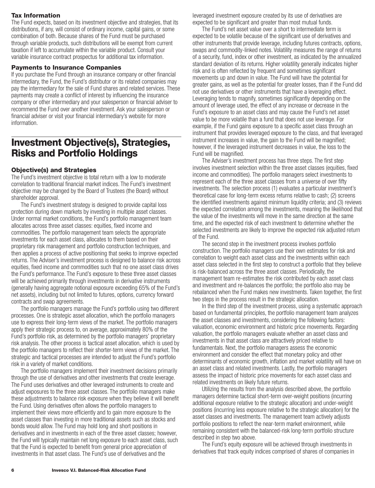## <span id="page-7-0"></span>**Tax Information**

The Fund expects, based on its investment objective and strategies, that its distributions, if any, will consist of ordinary income, capital gains, or some combination of both. Because shares of the Fund must be purchased through variable products, such distributions will be exempt from current taxation if left to accumulate within the variable product. Consult your variable insurance contract prospectus for additional tax information.

#### **Payments to Insurance Companies**

If you purchase the Fund through an insurance company or other financial intermediary, the Fund, the Fund's distributor or its related companies may pay the intermediary for the sale of Fund shares and related services. These payments may create a conflict of interest by influencing the insurance company or other intermediary and your salesperson or financial adviser to recommend the Fund over another investment. Ask your salesperson or financial adviser or visit your financial intermediary's website for more information.

## **Investment Objective(s), Strategies, Risks and Portfolio Holdings**

#### **Objective(s) and Strategies**

The Fund's investment objective is total return with a low to moderate correlation to traditional financial market indices. The Fund's investment objective may be changed by the Board of Trustees (the Board) without shareholder approval.

The Fund's investment strategy is designed to provide capital loss protection during down markets by investing in multiple asset classes. Under normal market conditions, the Fund's portfolio management team allocates across three asset classes: equities, fixed income and commodities. The portfolio management team selects the appropriate investments for each asset class, allocates to them based on their proprietary risk management and portfolio construction techniques, and then applies a process of active positioning that seeks to improve expected returns. The Adviser's investment process is designed to balance risk across equities, fixed income and commodities such that no one asset class drives the Fund's performance. The Fund's exposure to these three asset classes will be achieved primarily through investments in derivative instruments (generally having aggregate notional exposure exceeding 65% of the Fund's net assets), including but not limited to futures, options, currency forward contracts and swap agreements.

The portfolio managers manage the Fund's portfolio using two different processes. One is strategic asset allocation, which the portfolio managers use to express their long-term views of the market. The portfolio managers apply their strategic process to, on average, approximately 80% of the Fund's portfolio risk, as determined by the portfolio managers' proprietary risk analysis. The other process is tactical asset allocation, which is used by the portfolio managers to reflect their shorter-term views of the market. The strategic and tactical processes are intended to adjust the Fund's portfolio risk in a variety of market conditions.

The portfolio managers implement their investment decisions primarily through the use of derivatives and other investments that create leverage. The Fund uses derivatives and other leveraged instruments to create and adjust exposures to the three asset classes. The portfolio managers make these adjustments to balance risk exposure when they believe it will benefit the Fund. Using derivatives often allows the portfolio managers to implement their views more efficiently and to gain more exposure to the asset classes than investing in more traditional assets such as stocks and bonds would allow. The Fund may hold long and short positions in derivatives and in investments in each of the three asset classes; however, the Fund will typically maintain net long exposure to each asset class, such that the Fund is expected to benefit from general price appreciation of investments in that asset class. The Fund's use of derivatives and the

leveraged investment exposure created by its use of derivatives are expected to be significant and greater than most mutual funds.

The Fund's net asset value over a short to intermediate term is expected to be volatile because of the significant use of derivatives and other instruments that provide leverage, including futures contracts, options, swaps and commodity-linked notes. Volatility measures the range of returns of a security, fund, index or other investment, as indicated by the annualized standard deviation of its returns. Higher volatility generally indicates higher risk and is often reflected by frequent and sometimes significant movements up and down in value. The Fund will have the potential for greater gains, as well as the potential for greater losses, than if the Fund did not use derivatives or other instruments that have a leveraging effect. Leveraging tends to magnify, sometimes significantly depending on the amount of leverage used, the effect of any increase or decrease in the Fund's exposure to an asset class and may cause the Fund's net asset value to be more volatile than a fund that does not use leverage. For example, if the Fund gains exposure to a specific asset class through an instrument that provides leveraged exposure to the class, and that leveraged instrument increases in value, the gain to the Fund will be magnified; however, if the leveraged instrument decreases in value, the loss to the Fund will be magnified.

The Adviser's investment process has three steps. The first step involves investment selection within the three asset classes (equities, fixed income and commodities). The portfolio managers select investments to represent each of the three asset classes from a universe of over fifty investments. The selection process (1) evaluates a particular investment's theoretical case for long-term excess returns relative to cash; (2) screens the identified investments against minimum liquidity criteria; and (3) reviews the expected correlation among the investments, meaning the likelihood that the value of the investments will move in the same direction at the same time, and the expected risk of each investment to determine whether the selected investments are likely to improve the expected risk adjusted return of the Fund.

The second step in the investment process involves portfolio construction. The portfolio managers use their own estimates for risk and correlation to weight each asset class and the investments within each asset class selected in the first step to construct a portfolio that they believe is risk-balanced across the three asset classes. Periodically, the management team re-estimates the risk contributed by each asset class and investment and re-balances the portfolio; the portfolio also may be rebalanced when the Fund makes new investments. Taken together, the first two steps in the process result in the strategic allocation.

In the third step of the investment process, using a systematic approach based on fundamental principles, the portfolio management team analyzes the asset classes and investments, considering the following factors: valuation, economic environment and historic price movements. Regarding valuation, the portfolio managers evaluate whether an asset class and investments in that asset class are attractively priced relative to fundamentals. Next, the portfolio managers assess the economic environment and consider the effect that monetary policy and other determinants of economic growth, inflation and market volatility will have on an asset class and related investments. Lastly, the portfolio managers assess the impact of historic price movements for each asset class and related investments on likely future returns.

Utilizing the results from the analysis described above, the portfolio managers determine tactical short-term over-weight positions (incurring additional exposure relative to the strategic allocation) and under-weight positions (incurring less exposure relative to the strategic allocation) for the asset classes and investments. The management team actively adjusts portfolio positions to reflect the near-term market environment, while remaining consistent with the balanced-risk long-term portfolio structure described in step two above.

The Fund's equity exposure will be achieved through investments in derivatives that track equity indices comprised of shares of companies in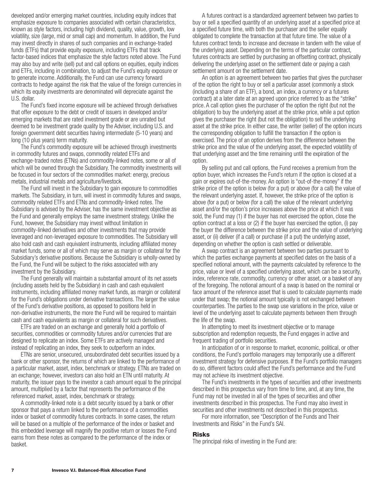developed and/or emerging market countries, including equity indices that emphasize exposure to companies associated with certain characteristics, known as style factors, including high dividend, quality, value, growth, low volatility, size (large, mid or small cap) and momentum. In addition, the Fund may invest directly in shares of such companies and in exchange-traded funds (ETFs) that provide equity exposure, including ETFs that track factor-based indices that emphasize the style factors noted above. The Fund may also buy and write (sell) put and call options on equities, equity indices and ETFs, including in combination, to adjust the Fund's equity exposure or to generate income. Additionally, the Fund can use currency forward contracts to hedge against the risk that the value of the foreign currencies in which its equity investments are denominated will depreciate against the U.S. dollar.

The Fund's fixed income exposure will be achieved through derivatives that offer exposure to the debt or credit of issuers in developed and/or emerging markets that are rated investment grade or are unrated but deemed to be investment grade quality by the Adviser, including U.S. and foreign government debt securities having intermediate (5-10 years) and long (10 plus years) term maturity.

The Fund's commodity exposure will be achieved through investments in commodity futures and swaps, commodity related ETFs and exchange-traded notes (ETNs) and commodity-linked notes, some or all of which will be owned through the Subsidiary. The commodity investments will be focused in four sectors of the commodities market: energy, precious metals, industrial metals and agriculture/livestock.

The Fund will invest in the Subsidiary to gain exposure to commodities markets. The Subsidiary, in turn, will invest in commodity futures and swaps, commodity related ETFs and ETNs and commodity-linked notes. The Subsidiary is advised by the Adviser, has the same investment objective as the Fund and generally employs the same investment strategy. Unlike the Fund, however, the Subsidiary may invest without limitation in commodity-linked derivatives and other investments that may provide leveraged and non-leveraged exposure to commodities. The Subsidiary will also hold cash and cash equivalent instruments, including affiliated money market funds, some or all of which may serve as margin or collateral for the Subsidiary's derivative positions. Because the Subsidiary is wholly-owned by the Fund, the Fund will be subject to the risks associated with any investment by the Subsidiary.

The Fund generally will maintain a substantial amount of its net assets (including assets held by the Subsidiary) in cash and cash equivalent instruments, including affiliated money market funds, as margin or collateral for the Fund's obligations under derivative transactions. The larger the value of the Fund's derivative positions, as opposed to positions held in non-derivative instruments, the more the Fund will be required to maintain cash and cash equivalents as margin or collateral for such derivatives.

ETFs are traded on an exchange and generally hold a portfolio of securities, commodities or commodity futures and/or currencies that are designed to replicate an index. Some ETFs are actively managed and instead of replicating an index, they seek to outperform an index.

ETNs are senior, unsecured, unsubordinated debt securities issued by a bank or other sponsor, the returns of which are linked to the performance of a particular market, asset, index, benchmark or strategy. ETNs are traded on an exchange; however, investors can also hold an ETN until maturity. At maturity, the issuer pays to the investor a cash amount equal to the principal amount, multiplied by a factor that represents the performance of the referenced market, asset, index, benchmark or strategy.

A commodity-linked note is a debt security issued by a bank or other sponsor that pays a return linked to the performance of a commodities index or basket of commodity futures contracts. In some cases, the return will be based on a multiple of the performance of the index or basket and this embedded leverage will magnify the positive return or losses the Fund earns from these notes as compared to the performance of the index or basket.

A futures contract is a standardized agreement between two parties to buy or sell a specified quantity of an underlying asset at a specified price at a specified future time, with both the purchaser and the seller equally obligated to complete the transaction at that future time. The value of a futures contract tends to increase and decrease in tandem with the value of the underlying asset. Depending on the terms of the particular contract, futures contracts are settled by purchasing an offsetting contract, physically delivering the underlying asset on the settlement date or paying a cash settlement amount on the settlement date.

An option is an agreement between two parties that gives the purchaser of the option the right to buy or sell a particular asset (commonly a stock (including a share of an ETF), a bond, an index, a currency or a futures contract) at a later date at an agreed upon price referred to as the "strike" price. A call option gives the purchaser of the option the right (but not the obligation) to buy the underlying asset at the strike price, while a put option gives the purchaser the right (but not the obligation) to sell the underlying asset at the strike price. In either case, the writer (seller) of the option incurs the corresponding obligation to fulfill the transaction if the option is exercised. The price of an option derives from the difference between the strike price and the value of the underlying asset, the expected volatility of that underlying asset and the time remaining until the expiration of the option.

By selling put and call options, the Fund receives a premium from the option buyer, which increases the Fund's return if the option is closed at a gain or expires out-of-the-money. An option is "out-of-the-money" if the strike price of the option is below (for a put) or above (for a call) the value of the relevant underlying asset. If, however, the strike price of the option is above (for a put) or below (for a call) the value of the relevant underlying asset and/or the option's price increases above the price at which it was sold, the Fund may (1) if the buyer has not exercised the option, close the option contract at a loss or (2) if the buyer has exercised the option, (i) pay the buyer the difference between the strike price and the value of underlying asset, or (ii) deliver (if a call) or purchase (if a put) the underlying asset, depending on whether the option is cash settled or deliverable.

A swap contract is an agreement between two parties pursuant to which the parties exchange payments at specified dates on the basis of a specified notional amount, with the payments calculated by reference to the price, value or level of a specified underlying asset, which can be a security, index, reference rate, commodity, currency or other asset, or a basket of any of the foregoing. The notional amount of a swap is based on the nominal or face amount of the reference asset that is used to calculate payments made under that swap; the notional amount typically is not exchanged between counterparties. The parties to the swap use variations in the price, value or level of the underlying asset to calculate payments between them through the life of the swap.

In attempting to meet its investment objective or to manage subscription and redemption requests, the Fund engages in active and frequent trading of portfolio securities.

In anticipation of or in response to market, economic, political, or other conditions, the Fund's portfolio managers may temporarily use a different investment strategy for defensive purposes. If the Fund's portfolio managers do so, different factors could affect the Fund's performance and the Fund may not achieve its investment objective.

The Fund's investments in the types of securities and other investments described in this prospectus vary from time to time, and, at any time, the Fund may not be invested in all of the types of securities and other investments described in this prospectus. The Fund may also invest in securities and other investments not described in this prospectus.

For more information, see "Description of the Funds and Their Investments and Risks" in the Fund's SAI.

#### **Risks**

The principal risks of investing in the Fund are: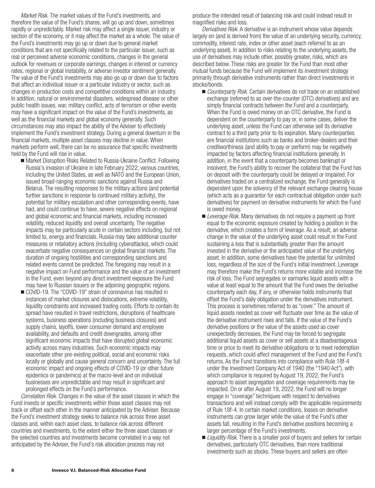*Market Risk.* The market values of the Fund's investments, and therefore the value of the Fund's shares, will go up and down, sometimes rapidly or unpredictably. Market risk may affect a single issuer, industry or section of the economy, or it may affect the market as a whole. The value of the Fund's investments may go up or down due to general market conditions that are not specifically related to the particular issuer, such as real or perceived adverse economic conditions, changes in the general outlook for revenues or corporate earnings, changes in interest or currency rates, regional or global instability, or adverse investor sentiment generally. The value of the Fund's investments may also go up or down due to factors that affect an individual issuer or a particular industry or sector, such as changes in production costs and competitive conditions within an industry. In addition, natural or environmental disasters, widespread disease or other public health issues, war, military conflict, acts of terrorism or other events may have a significant impact on the value of the Fund's investments, as well as the financial markets and global economy generally. Such circumstances may also impact the ability of the Adviser to effectively implement the Fund's investment strategy. During a general downturn in the financial markets, multiple asset classes may decline in value. When markets perform well, there can be no assurance that specific investments held by the Fund will rise in value.

- Market Disruption Risks Related to Russia-Ukraine Conflict. Following Russia's invasion of Ukraine in late February 2022, various countries, including the United States, as well as NATO and the European Union, issued broad-ranging economic sanctions against Russia and Belarus. The resulting responses to the military actions (and potential further sanctions in response to continued military activity), the potential for military escalation and other corresponding events, have had, and could continue to have, severe negative effects on regional and global economic and financial markets, including increased volatility, reduced liquidity and overall uncertainty. The negative impacts may be particularly acute in certain sectors including, but not limited to, energy and financials. Russia may take additional counter measures or retaliatory actions (including cyberattacks), which could exacerbate negative consequences on global financial markets. The duration of ongoing hostilities and corresponding sanctions and related events cannot be predicted. The foregoing may result in a negative impact on Fund performance and the value of an investment in the Fund, even beyond any direct investment exposure the Fund may have to Russian issuers or the adjoining geographic regions.
- COVID-19. The "COVID-19" strain of coronavirus has resulted in instances of market closures and dislocations, extreme volatility, liquidity constraints and increased trading costs. Efforts to contain its spread have resulted in travel restrictions, disruptions of healthcare systems, business operations (including business closures) and supply chains, layoffs, lower consumer demand and employee availability, and defaults and credit downgrades, among other significant economic impacts that have disrupted global economic activity across many industries. Such economic impacts may exacerbate other pre-existing political, social and economic risks locally or globally and cause general concern and uncertainty. The full economic impact and ongoing effects of COVID-19 (or other future epidemics or pandemics) at the macro-level and on individual businesses are unpredictable and may result in significant and prolonged effects on the Fund's performance.

*Correlation Risk.* Changes in the value of the asset classes in which the Fund invests or specific investments within those asset classes may not track or offset each other in the manner anticipated by the Adviser. Because the Fund's investment strategy seeks to balance risk across three asset classes and, within each asset class, to balance risk across different countries and investments, to the extent either the three asset classes or the selected countries and investments become correlated in a way not anticipated by the Adviser, the Fund's risk allocation process may not

produce the intended result of balancing risk and could instead result in magnified risks and loss.

*Derivatives Risk.* A derivative is an instrument whose value depends largely on (and is derived from) the value of an underlying security, currency, commodity, interest rate, index or other asset (each referred to as an underlying asset). In addition to risks relating to the underlying assets, the use of derivatives may include other, possibly greater, risks, which are described below. These risks are greater for the Fund than most other mutual funds because the Fund will implement its investment strategy primarily through derivative instruments rather than direct investments in stocks/bonds.

- *Counterparty Risk.* Certain derivatives do not trade on an established exchange (referred to as over-the-counter (OTC) derivatives) and are simply financial contracts between the Fund and a counterparty. When the Fund is owed money on an OTC derivative, the Fund is dependent on the counterparty to pay or, in some cases, deliver the underlying asset, unless the Fund can otherwise sell its derivative contract to a third party prior to its expiration. Many counterparties are financial institutions such as banks and broker-dealers and their creditworthiness (and ability to pay or perform) may be negatively impacted by factors affecting financial institutions generally. In addition, in the event that a counterparty becomes bankrupt or insolvent, the Fund's ability to recover the collateral that the Fund has on deposit with the counterparty could be delayed or impaired. For derivatives traded on a centralized exchange, the Fund generally is dependent upon the solvency of the relevant exchange clearing house (which acts as a guarantor for each contractual obligation under such derivatives) for payment on derivative instruments for which the Fund is owed money.
- *Leverage Risk.* Many derivatives do not require a payment up front equal to the economic exposure created by holding a position in the derivative, which creates a form of leverage. As a result, an adverse change in the value of the underlying asset could result in the Fund sustaining a loss that is substantially greater than the amount invested in the derivative or the anticipated value of the underlying asset. In addition, some derivatives have the potential for unlimited loss, regardless of the size of the Fund's initial investment. Leverage may therefore make the Fund's returns more volatile and increase the risk of loss. The Fund segregates or earmarks liquid assets with a value at least equal to the amount that the Fund owes the derivative counterparty each day, if any, or otherwise holds instruments that offset the Fund's daily obligation under the derivatives instrument. This process is sometimes referred to as "cover." The amount of liquid assets needed as cover will fluctuate over time as the value of the derivative instrument rises and falls. If the value of the Fund's derivative positions or the value of the assets used as cover unexpectedly decreases, the Fund may be forced to segregate additional liquid assets as cover or sell assets at a disadvantageous time or price to meet its derivative obligations or to meet redemption requests, which could affect management of the Fund and the Fund's returns. As the Fund transitions into compliance with Rule 18f-4 under the Investment Company Act of 1940 (the "1940 Act"), with which compliance is required by August 19, 2022, the Fund's approach to asset segregation and coverage requirements may be impacted. On or after August 19, 2022, the Fund will no longer engage in "coverage" techniques with respect to derivatives transactions and will instead comply with the applicable requirements of Rule 18f-4. In certain market conditions, losses on derivative instruments can grow larger while the value of the Fund's other assets fall, resulting in the Fund's derivative positions becoming a larger percentage of the Fund's investments.
- *Liquidity Risk.* There is a smaller pool of buyers and sellers for certain derivatives, particularly OTC derivatives, than more traditional investments such as stocks. These buyers and sellers are often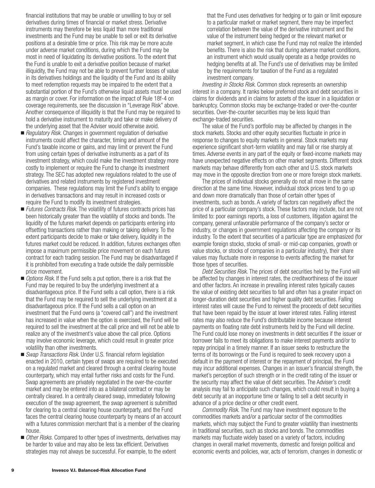financial institutions that may be unable or unwilling to buy or sell derivatives during times of financial or market stress. Derivative instruments may therefore be less liquid than more traditional investments and the Fund may be unable to sell or exit its derivative positions at a desirable time or price. This risk may be more acute under adverse market conditions, during which the Fund may be most in need of liquidating its derivative positions. To the extent that the Fund is unable to exit a derivative position because of market illiquidity, the Fund may not be able to prevent further losses of value in its derivatives holdings and the liquidity of the Fund and its ability to meet redemption requests may be impaired to the extent that a substantial portion of the Fund's otherwise liquid assets must be used as margin or cover. For information on the impact of Rule 18f-4 on coverage requirements, see the discussion in "Leverage Risk" above. Another consequence of illiquidity is that the Fund may be required to hold a derivative instrument to maturity and take or make delivery of the underlying asset that the Adviser would otherwise avoid.

- *Regulatory Risk*. Changes in government regulation of derivative instruments could affect the character, timing and amount of the Fund's taxable income or gains, and may limit or prevent the Fund from using certain types of derivative instruments as a part of its investment strategy, which could make the investment strategy more costly to implement or require the Fund to change its investment strategy. The SEC has adopted new regulations related to the use of derivatives and related instruments by registered investment companies. These regulations may limit the Fund's ability to engage in derivatives transactions and may result in increased costs or require the Fund to modify its investment strategies.
- *Futures Contracts Risk*. The volatility of futures contracts prices has been historically greater than the volatility of stocks and bonds. The liquidity of the futures market depends on participants entering into offsetting transactions rather than making or taking delivery. To the extent participants decide to make or take delivery, liquidity in the futures market could be reduced. In addition, futures exchanges often impose a maximum permissible price movement on each futures contract for each trading session. The Fund may be disadvantaged if it is prohibited from executing a trade outside the daily permissible price movement.
- **D** Options Risk. If the Fund sells a put option, there is a risk that the Fund may be required to buy the underlying investment at a disadvantageous price. If the Fund sells a call option, there is a risk that the Fund may be required to sell the underlying investment at a disadvantageous price. If the Fund sells a call option on an investment that the Fund owns (a "covered call") and the investment has increased in value when the option is exercised, the Fund will be required to sell the investment at the call price and will not be able to realize any of the investment's value above the call price. Options may involve economic leverage, which could result in greater price volatility than other investments.
- *Swap Transactions Risk*. Under U.S. financial reform legislation enacted in 2010, certain types of swaps are required to be executed on a regulated market and cleared through a central clearing house counterparty, which may entail further risks and costs for the Fund. Swap agreements are privately negotiated in the over-the-counter market and may be entered into as a bilateral contract or may be centrally cleared. In a centrally cleared swap, immediately following execution of the swap agreement, the swap agreement is submitted for clearing to a central clearing house counterparty, and the Fund faces the central clearing house counterparty by means of an account with a futures commission merchant that is a member of the clearing house.
- *Other Risks.* Compared to other types of investments, derivatives may be harder to value and may also be less tax efficient. Derivatives strategies may not always be successful. For example, to the extent

that the Fund uses derivatives for hedging or to gain or limit exposure to a particular market or market segment, there may be imperfect correlation between the value of the derivative instrument and the value of the instrument being hedged or the relevant market or market segment, in which case the Fund may not realize the intended benefits. There is also the risk that during adverse market conditions, an instrument which would usually operate as a hedge provides no hedging benefits at all. The Fund's use of derivatives may be limited by the requirements for taxation of the Fund as a regulated investment company.

*Investing in Stocks Risk*. Common stock represents an ownership interest in a company. It ranks below preferred stock and debt securities in claims for dividends and in claims for assets of the issuer in a liquidation or bankruptcy. Common stocks may be exchange-traded or over-the-counter securities. Over-the-counter securities may be less liquid than exchange-traded securities.

The value of the Fund's portfolio may be affected by changes in the stock markets. Stocks and other equity securities fluctuate in price in response to changes to equity markets in general. Stock markets may experience significant short-term volatility and may fall or rise sharply at times. Adverse events in any part of the equity or fixed-income markets may have unexpected negative effects on other market segments. Different stock markets may behave differently from each other and U.S. stock markets may move in the opposite direction from one or more foreign stock markets.

The prices of individual stocks generally do not all move in the same direction at the same time. However, individual stock prices tend to go up and down more dramatically than those of certain other types of investments, such as bonds. A variety of factors can negatively affect the price of a particular company's stock. These factors may include, but are not limited to: poor earnings reports, a loss of customers, litigation against the company, general unfavorable performance of the company's sector or industry, or changes in government regulations affecting the company or its industry. To the extent that securities of a particular type are emphasized (for example foreign stocks, stocks of small- or mid-cap companies, growth or value stocks, or stocks of companies in a particular industry), their share values may fluctuate more in response to events affecting the market for those types of securities.

*Debt Securities Risk.* The prices of debt securities held by the Fund will be affected by changes in interest rates, the creditworthiness of the issuer and other factors. An increase in prevailing interest rates typically causes the value of existing debt securities to fall and often has a greater impact on longer-duration debt securities and higher quality debt securities. Falling interest rates will cause the Fund to reinvest the proceeds of debt securities that have been repaid by the issuer at lower interest rates. Falling interest rates may also reduce the Fund's distributable income because interest payments on floating rate debt instruments held by the Fund will decline. The Fund could lose money on investments in debt securities if the issuer or borrower fails to meet its obligations to make interest payments and/or to repay principal in a timely manner. If an issuer seeks to restructure the terms of its borrowings or the Fund is required to seek recovery upon a default in the payment of interest or the repayment of principal, the Fund may incur additional expenses. Changes in an issuer's financial strength, the market's perception of such strength or in the credit rating of the issuer or the security may affect the value of debt securities. The Adviser's credit analysis may fail to anticipate such changes, which could result in buying a debt security at an inopportune time or failing to sell a debt security in advance of a price decline or other credit event.

*Commodity Risk.* The Fund may have investment exposure to the commodities markets and/or a particular sector of the commodities markets, which may subject the Fund to greater volatility than investments in traditional securities, such as stocks and bonds. The commodities markets may fluctuate widely based on a variety of factors, including changes in overall market movements, domestic and foreign political and economic events and policies, war, acts of terrorism, changes in domestic or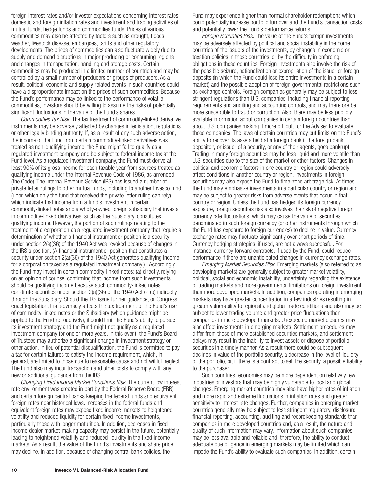foreign interest rates and/or investor expectations concerning interest rates, domestic and foreign inflation rates and investment and trading activities of mutual funds, hedge funds and commodities funds. Prices of various commodities may also be affected by factors such as drought, floods, weather, livestock disease, embargoes, tariffs and other regulatory developments. The prices of commodities can also fluctuate widely due to supply and demand disruptions in major producing or consuming regions and changes in transportation, handling and storage costs. Certain commodities may be produced in a limited number of countries and may be controlled by a small number of producers or groups of producers. As a result, political, economic and supply related events in such countries could have a disproportionate impact on the prices of such commodities. Because the Fund's performance may be linked to the performance of volatile commodities, investors should be willing to assume the risks of potentially significant fluctuations in the value of the Fund's shares.

*Commodities Tax Risk.* The tax treatment of commodity-linked derivative instruments may be adversely affected by changes in legislation, regulations or other legally binding authority. If, as a result of any such adverse action, the income of the Fund from certain commodity-linked derivatives was treated as non-qualifying income, the Fund might fail to qualify as a regulated investment company and be subject to federal income tax at the Fund level. As a regulated investment company, the Fund must derive at least 90% of its gross income for each taxable year from sources treated as qualifying income under the Internal Revenue Code of 1986, as amended (the Code). The Internal Revenue Service (IRS) has issued a number of private letter rulings to other mutual funds, including to another Invesco fund (upon which only the fund that received the private letter ruling can rely), which indicate that income from a fund's investment in certain commodity-linked notes and a wholly-owned foreign subsidiary that invests in commodity-linked derivatives, such as the Subsidiary, constitutes qualifying income. However, the portion of such rulings relating to the treatment of a corporation as a regulated investment company that require a determination of whether a financial instrument or position is a security under section 2(a)(36) of the 1940 Act was revoked because of changes in the IRS's position. (A financial instrument or position that constitutes a security under section 2(a)(36) of the 1940 Act generates qualifying income for a corporation taxed as a regulated investment company.) Accordingly, the Fund may invest in certain commodity-linked notes: (a) directly, relying on an opinion of counsel confirming that income from such investments should be qualifying income because such commodity-linked notes constitute securities under section 2(a)(36) of the 1940 Act or (b) indirectly through the Subsidiary. Should the IRS issue further guidance, or Congress enact legislation, that adversely affects the tax treatment of the Fund's use of commodity-linked notes or the Subsidiary (which guidance might be applied to the Fund retroactively), it could limit the Fund's ability to pursue its investment strategy and the Fund might not qualify as a regulated investment company for one or more years. In this event, the Fund's Board of Trustees may authorize a significant change in investment strategy or other action. In lieu of potential disqualification, the Fund is permitted to pay a tax for certain failures to satisfy the income requirement, which, in general, are limited to those due to reasonable cause and not willful neglect. The Fund also may incur transaction and other costs to comply with any new or additional guidance from the IRS.

*Changing Fixed Income Market Conditions Risk.* The current low interest rate environment was created in part by the Federal Reserve Board (FRB) and certain foreign central banks keeping the federal funds and equivalent foreign rates near historical lows. Increases in the federal funds and equivalent foreign rates may expose fixed income markets to heightened volatility and reduced liquidity for certain fixed income investments, particularly those with longer maturities. In addition, decreases in fixed income dealer market-making capacity may persist in the future, potentially leading to heightened volatility and reduced liquidity in the fixed income markets. As a result, the value of the Fund's investments and share price may decline. In addition, because of changing central bank policies, the

Fund may experience higher than normal shareholder redemptions which could potentially increase portfolio turnover and the Fund's transaction costs and potentially lower the Fund's performance returns.

*Foreign Securities Risk.* The value of the Fund's foreign investments may be adversely affected by political and social instability in the home countries of the issuers of the investments, by changes in economic or taxation policies in those countries, or by the difficulty in enforcing obligations in those countries. Foreign investments also involve the risk of the possible seizure, nationalization or expropriation of the issuer or foreign deposits (in which the Fund could lose its entire investments in a certain market) and the possible adoption of foreign governmental restrictions such as exchange controls. Foreign companies generally may be subject to less stringent regulations than U.S. companies, including financial reporting requirements and auditing and accounting controls, and may therefore be more susceptible to fraud or corruption. Also, there may be less publicly available information about companies in certain foreign countries than about U.S. companies making it more difficult for the Adviser to evaluate those companies. The laws of certain countries may put limits on the Fund's ability to recover its assets held at a foreign bank if the foreign bank, depository or issuer of a security, or any of their agents, goes bankrupt. Trading in many foreign securities may be less liquid and more volatile than U.S. securities due to the size of the market or other factors. Changes in political and economic factors in one country or region could adversely affect conditions in another country or region. Investments in foreign securities may also expose the Fund to time-zone arbitrage risk. At times, the Fund may emphasize investments in a particular country or region and may be subject to greater risks from adverse events that occur in that country or region. Unless the Fund has hedged its foreign currency exposure, foreign securities risk also involves the risk of negative foreign currency rate fluctuations, which may cause the value of securities denominated in such foreign currency (or other instruments through which the Fund has exposure to foreign currencies) to decline in value. Currency exchange rates may fluctuate significantly over short periods of time. Currency hedging strategies, if used, are not always successful. For instance, currency forward contracts, if used by the Fund, could reduce performance if there are unanticipated changes in currency exchange rates.

*Emerging Market Securities Risk.* Emerging markets (also referred to as developing markets) are generally subject to greater market volatility, political, social and economic instability, uncertainty regarding the existence of trading markets and more governmental limitations on foreign investment than more developed markets. In addition, companies operating in emerging markets may have greater concentration in a few industries resulting in greater vulnerability to regional and global trade conditions and also may be subject to lower trading volume and greater price fluctuations than companies in more developed markets. Unexpected market closures may also affect investments in emerging markets. Settlement procedures may differ from those of more established securities markets, and settlement delays may result in the inability to invest assets or dispose of portfolio securities in a timely manner. As a result there could be subsequent declines in value of the portfolio security, a decrease in the level of liquidity of the portfolio, or, if there is a contract to sell the security, a possible liability to the purchaser.

Such countries' economies may be more dependent on relatively few industries or investors that may be highly vulnerable to local and global changes. Emerging market countries may also have higher rates of inflation and more rapid and extreme fluctuations in inflation rates and greater sensitivity to interest rate changes. Further, companies in emerging market countries generally may be subject to less stringent regulatory, disclosure, financial reporting, accounting, auditing and recordkeeping standards than companies in more developed countries and, as a result, the nature and quality of such information may vary. Information about such companies may be less available and reliable and, therefore, the ability to conduct adequate due diligence in emerging markets may be limited which can impede the Fund's ability to evaluate such companies. In addition, certain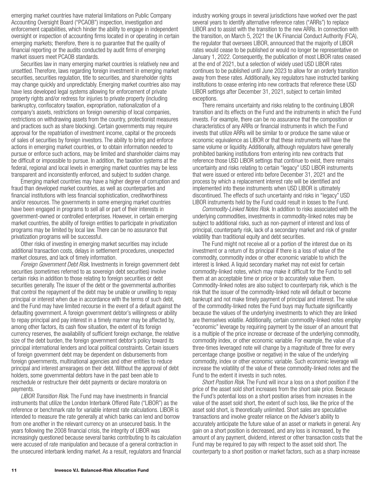emerging market countries have material limitations on Public Company Accounting Oversight Board ("PCAOB") inspection, investigation and enforcement capabilities, which hinder the ability to engage in independent oversight or inspection of accounting firms located in or operating in certain emerging markets; therefore, there is no guarantee that the quality of financial reporting or the audits conducted by audit firms of emerging market issuers meet PCAOB standards.

Securities law in many emerging market countries is relatively new and unsettled. Therefore, laws regarding foreign investment in emerging market securities, securities regulation, title to securities, and shareholder rights may change quickly and unpredictably. Emerging market countries also may have less developed legal systems allowing for enforcement of private property rights and/or redress for injuries to private property (including bankruptcy, confiscatory taxation, expropriation, nationalization of a company's assets, restrictions on foreign ownership of local companies, restrictions on withdrawing assets from the country, protectionist measures and practices such as share blocking). Certain governments may require approval for the repatriation of investment income, capital or the proceeds of sales of securities by foreign investors. The ability to bring and enforce actions in emerging market countries, or to obtain information needed to pursue or enforce such actions, may be limited and shareholder claims may be difficult or impossible to pursue. In addition, the taxation systems at the federal, regional and local levels in emerging market countries may be less transparent and inconsistently enforced, and subject to sudden change.

Emerging market countries may have a higher degree of corruption and fraud than developed market countries, as well as counterparties and financial institutions with less financial sophistication, creditworthiness and/or resources. The governments in some emerging market countries have been engaged in programs to sell all or part of their interests in government-owned or controlled enterprises. However, in certain emerging market countries, the ability of foreign entities to participate in privatization programs may be limited by local law. There can be no assurance that privatization programs will be successful.

Other risks of investing in emerging market securities may include additional transaction costs, delays in settlement procedures, unexpected market closures, and lack of timely information.

*Foreign Government Debt Risk.* Investments in foreign government debt securities (sometimes referred to as sovereign debt securities) involve certain risks in addition to those relating to foreign securities or debt securities generally. The issuer of the debt or the governmental authorities that control the repayment of the debt may be unable or unwilling to repay principal or interest when due in accordance with the terms of such debt, and the Fund may have limited recourse in the event of a default against the defaulting government. A foreign government debtor's willingness or ability to repay principal and pay interest in a timely manner may be affected by, among other factors, its cash flow situation, the extent of its foreign currency reserves, the availability of sufficient foreign exchange, the relative size of the debt burden, the foreign government debtor's policy toward its principal international lenders and local political constraints. Certain issuers of foreign government debt may be dependent on disbursements from foreign governments, multinational agencies and other entities to reduce principal and interest arrearages on their debt. Without the approval of debt holders, some governmental debtors have in the past been able to reschedule or restructure their debt payments or declare moratoria on payments.

*LIBOR Transition Risk.* The Fund may have investments in financial instruments that utilize the London Interbank Offered Rate ("LIBOR") as the reference or benchmark rate for variable interest rate calculations. LIBOR is intended to measure the rate generally at which banks can lend and borrow from one another in the relevant currency on an unsecured basis. In the years following the 2008 financial crisis, the integrity of LIBOR was increasingly questioned because several banks contributing to its calculation were accused of rate manipulation and because of a general contraction in the unsecured interbank lending market. As a result, regulators and financial industry working groups in several jurisdictions have worked over the past several years to identify alternative reference rates ("ARRs") to replace LIBOR and to assist with the transition to the new ARRs. In connection with the transition, on March 5, 2021 the UK Financial Conduct Authority (FCA), the regulator that oversees LIBOR, announced that the majority of LIBOR rates would cease to be published or would no longer be representative on January 1, 2022. Consequently, the publication of most LIBOR rates ceased at the end of 2021, but a selection of widely used USD LIBOR rates continues to be published until June 2023 to allow for an orderly transition away from these rates. Additionally, key regulators have instructed banking institutions to cease entering into new contracts that reference these USD LIBOR settings after December 31, 2021, subject to certain limited exceptions.

There remains uncertainty and risks relating to the continuing LIBOR transition and its effects on the Fund and the instruments in which the Fund invests. For example, there can be no assurance that the composition or characteristics of any ARRs or financial instruments in which the Fund invests that utilize ARRs will be similar to or produce the same value or economic equivalence as LIBOR or that these instruments will have the same volume or liquidity. Additionally, although regulators have generally prohibited banking institutions from entering into new contracts that reference those USD LIBOR settings that continue to exist, there remains uncertainty and risks relating to certain "legacy" USD LIBOR instruments that were issued or entered into before December 31, 2021 and the process by which a replacement interest rate will be identified and implemented into these instruments when USD LIBOR is ultimately discontinued. The effects of such uncertainty and risks in "legacy" USD LIBOR instruments held by the Fund could result in losses to the Fund.

*Commodity-Linked Notes Risk.* In addition to risks associated with the underlying commodities, investments in commodity-linked notes may be subject to additional risks, such as non-payment of interest and loss of principal, counterparty risk, lack of a secondary market and risk of greater volatility than traditional equity and debt securities.

The Fund might not receive all or a portion of the interest due on its investment or a return of its principal if there is a loss of value of the commodity, commodity index or other economic variable to which the interest is linked. A liquid secondary market may not exist for certain commodity-linked notes, which may make it difficult for the Fund to sell them at an acceptable time or price or to accurately value them. Commodity-linked notes are also subject to counterparty risk, which is the risk that the issuer of the commodity-linked note will default or become bankrupt and not make timely payment of principal and interest. The value of the commodity-linked notes the Fund buys may fluctuate significantly because the values of the underlying investments to which they are linked are themselves volatile. Additionally, certain commodity-linked notes employ "economic" leverage by requiring payment by the issuer of an amount that is a multiple of the price increase or decrease of the underlying commodity, commodity index, or other economic variable. For example, the value of a three-times leveraged note will change by a magnitude of three for every percentage change (positive or negative) in the value of the underlying commodity, index or other economic variable. Such economic leverage will increase the volatility of the value of these commodity-linked notes and the Fund to the extent it invests in such notes.

*Short Position Risk.* The Fund will incur a loss on a short position if the price of the asset sold short increases from the short sale price. Because the Fund's potential loss on a short position arises from increases in the value of the asset sold short, the extent of such loss, like the price of the asset sold short, is theoretically unlimited. Short sales are speculative transactions and involve greater reliance on the Adviser's ability to accurately anticipate the future value of an asset or markets in general. Any gain on a short position is decreased, and any loss is increased, by the amount of any payment, dividend, interest or other transaction costs that the Fund may be required to pay with respect to the asset sold short. The counterparty to a short position or market factors, such as a sharp increase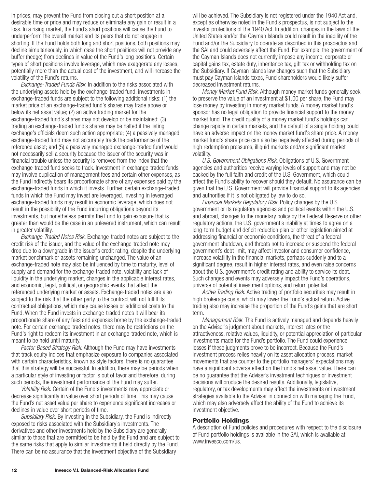in prices, may prevent the Fund from closing out a short position at a desirable time or price and may reduce or eliminate any gain or result in a loss. In a rising market, the Fund's short positions will cause the Fund to underperform the overall market and its peers that do not engage in shorting. If the Fund holds both long and short positions, both positions may decline simultaneously, in which case the short positions will not provide any buffer (hedge) from declines in value of the Fund's long positions. Certain types of short positions involve leverage, which may exaggerate any losses, potentially more than the actual cost of the investment, and will increase the volatility of the Fund's returns.

*Exchange-Traded Funds Risk*. In addition to the risks associated with the underlying assets held by the exchange-traded fund, investments in exchange-traded funds are subject to the following additional risks: (1) the market price of an exchange-traded fund's shares may trade above or below its net asset value; (2) an active trading market for the exchange-traded fund's shares may not develop or be maintained; (3) trading an exchange-traded fund's shares may be halted if the listing exchange's officials deem such action appropriate; (4) a passively managed exchange-traded fund may not accurately track the performance of the reference asset; and (5) a passively managed exchange-traded fund would not necessarily sell a security because the issuer of the security was in financial trouble unless the security is removed from the index that the exchange-traded fund seeks to track. Investment in exchange-traded funds may involve duplication of management fees and certain other expenses, as the Fund indirectly bears its proportionate share of any expenses paid by the exchange-traded funds in which it invests. Further, certain exchange-traded funds in which the Fund may invest are leveraged. Investing in leveraged exchange-traded funds may result in economic leverage, which does not result in the possibility of the Fund incurring obligations beyond its investments, but nonetheless permits the Fund to gain exposure that is greater than would be the case in an unlevered instrument, which can result in greater volatility.

*Exchange-Traded Notes Risk.* Exchange-traded notes are subject to the credit risk of the issuer, and the value of the exchange-traded note may drop due to a downgrade in the issuer's credit rating, despite the underlying market benchmark or assets remaining unchanged. The value of an exchange-traded note may also be influenced by time to maturity, level of supply and demand for the exchange-traded note, volatility and lack of liquidity in the underlying market, changes in the applicable interest rates, and economic, legal, political, or geographic events that affect the referenced underlying market or assets. Exchange-traded notes are also subject to the risk that the other party to the contract will not fulfill its contractual obligations, which may cause losses or additional costs to the Fund. When the Fund invests in exchange-traded notes it will bear its proportionate share of any fees and expenses borne by the exchange-traded note. For certain exchange-traded notes, there may be restrictions on the Fund's right to redeem its investment in an exchange-traded note, which is meant to be held until maturity.

*Factor-Based Strategy Risk.* Although the Fund may have investments that track equity indices that emphasize exposure to companies associated with certain characteristics, known as style factors, there is no guarantee that this strategy will be successful. In addition, there may be periods when a particular style of investing or factor is out of favor and therefore, during such periods, the investment performance of the Fund may suffer.

*Volatility Risk.* Certain of the Fund's investments may appreciate or decrease significantly in value over short periods of time. This may cause the Fund's net asset value per share to experience significant increases or declines in value over short periods of time.

*Subsidiary Risk.* By investing in the Subsidiary, the Fund is indirectly exposed to risks associated with the Subsidiary's investments. The derivatives and other investments held by the Subsidiary are generally similar to those that are permitted to be held by the Fund and are subject to the same risks that apply to similar investments if held directly by the Fund. There can be no assurance that the investment objective of the Subsidiary

will be achieved. The Subsidiary is not registered under the 1940 Act and, except as otherwise noted in the Fund's prospectus, is not subject to the investor protections of the 1940 Act. In addition, changes in the laws of the United States and/or the Cayman Islands could result in the inability of the Fund and/or the Subsidiary to operate as described in this prospectus and the SAI and could adversely affect the Fund. For example, the government of the Cayman Islands does not currently impose any income, corporate or capital gains tax, estate duty, inheritance tax, gift tax or withholding tax on the Subsidiary. If Cayman Islands law changes such that the Subsidiary must pay Cayman Islands taxes, Fund shareholders would likely suffer decreased investment returns.

*Money Market Fund Risk.* Although money market funds generally seek to preserve the value of an investment at \$1.00 per share, the Fund may lose money by investing in money market funds. A money market fund's sponsor has no legal obligation to provide financial support to the money market fund. The credit quality of a money market fund's holdings can change rapidly in certain markets, and the default of a single holding could have an adverse impact on the money market fund's share price. A money market fund's share price can also be negatively affected during periods of high redemption pressures, illiquid markets and/or significant market volatility.

*U.S. Government Obligations Risk.* Obligations of U.S. Government agencies and authorities receive varying levels of support and may not be backed by the full faith and credit of the U.S. Government, which could affect the Fund's ability to recover should they default. No assurance can be given that the U.S. Government will provide financial support to its agencies and authorities if it is not obligated by law to do so.

*Financial Markets Regulatory Risk*. Policy changes by the U.S. government or its regulatory agencies and political events within the U.S. and abroad, changes to the monetary policy by the Federal Reserve or other regulatory actions, the U.S. government's inability at times to agree on a long-term budget and deficit reduction plan or other legislation aimed at addressing financial or economic conditions, the threat of a federal government shutdown, and threats not to increase or suspend the federal government's debt limit, may affect investor and consumer confidence, increase volatility in the financial markets, perhaps suddenly and to a significant degree, result in higher interest rates, and even raise concerns about the U.S. government's credit rating and ability to service its debt. Such changes and events may adversely impact the Fund's operations, universe of potential investment options, and return potential.

*Active Trading Risk.* Active trading of portfolio securities may result in high brokerage costs, which may lower the Fund's actual return. Active trading also may increase the proportion of the Fund's gains that are short term.

*Management Risk.* The Fund is actively managed and depends heavily on the Adviser's judgment about markets, interest rates or the attractiveness, relative values, liquidity, or potential appreciation of particular investments made for the Fund's portfolio. The Fund could experience losses if these judgments prove to be incorrect. Because the Fund's investment process relies heavily on its asset allocation process, market movements that are counter to the portfolio managers' expectations may have a significant adverse effect on the Fund's net asset value. There can be no guarantee that the Adviser's investment techniques or investment decisions will produce the desired results. Additionally, legislative, regulatory, or tax developments may affect the investments or investment strategies available to the Adviser in connection with managing the Fund, which may also adversely affect the ability of the Fund to achieve its investment objective.

## **Portfolio Holdings**

A description of Fund policies and procedures with respect to the disclosure of Fund portfolio holdings is available in the SAI, which is available at www.invesco.com/us.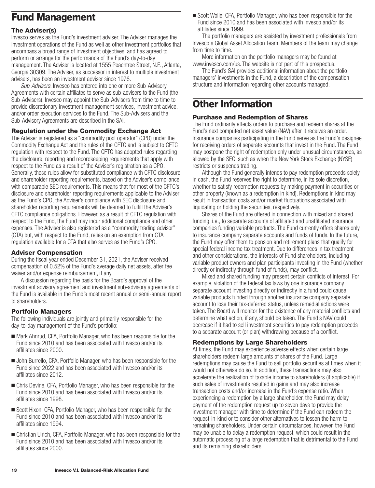# <span id="page-14-0"></span>**Fund Management**

## **The Adviser(s)**

Invesco serves as the Fund's investment adviser. The Adviser manages the investment operations of the Fund as well as other investment portfolios that encompass a broad range of investment objectives, and has agreed to perform or arrange for the performance of the Fund's day-to-day management. The Adviser is located at 1555 Peachtree Street, N.E., Atlanta, Georgia 30309. The Adviser, as successor in interest to multiple investment advisers, has been an investment adviser since 1976.

*Sub-Advisers*. Invesco has entered into one or more Sub-Advisory Agreements with certain affiliates to serve as sub-advisers to the Fund (the Sub-Advisers). Invesco may appoint the Sub-Advisers from time to time to provide discretionary investment management services, investment advice, and/or order execution services to the Fund. The Sub-Advisers and the Sub-Advisory Agreements are described in the SAI.

## **Regulation under the Commodity Exchange Act**

The Adviser is registered as a "commodity pool operator" (CPO) under the Commodity Exchange Act and the rules of the CFTC and is subject to CFTC regulation with respect to the Fund. The CFTC has adopted rules regarding the disclosure, reporting and recordkeeping requirements that apply with respect to the Fund as a result of the Adviser's registration as a CPO. Generally, these rules allow for substituted compliance with CFTC disclosure and shareholder reporting requirements, based on the Adviser's compliance with comparable SEC requirements. This means that for most of the CFTC's disclosure and shareholder reporting requirements applicable to the Adviser as the Fund's CPO, the Adviser's compliance with SEC disclosure and shareholder reporting requirements will be deemed to fulfill the Adviser's CFTC compliance obligations. However, as a result of CFTC regulation with respect to the Fund, the Fund may incur additional compliance and other expenses. The Adviser is also registered as a "commodity trading advisor" (CTA) but, with respect to the Fund, relies on an exemption from CTA regulation available for a CTA that also serves as the Fund's CPO.

## **Adviser Compensation**

During the fiscal year ended December 31, 2021, the Adviser received compensation of 0.52% of the Fund's average daily net assets, after fee waiver and/or expense reimbursement, if any.

A discussion regarding the basis for the Board's approval of the investment advisory agreement and investment sub-advisory agreements of the Fund is available in the Fund's most recent annual or semi-annual report to shareholders.

## **Portfolio Managers**

The following individuals are jointly and primarily responsible for the day-to-day management of the Fund's portfolio:

- Mark Ahnrud, CFA, Portfolio Manager, who has been responsible for the Fund since 2010 and has been associated with Invesco and/or its affiliates since 2000.
- John Burrello, CFA, Portfolio Manager, who has been responsible for the Fund since 2022 and has been associated with Invesco and/or its affiliates since 2012.
- Chris Devine, CFA, Portfolio Manager, who has been responsible for the Fund since 2010 and has been associated with Invesco and/or its affiliates since 1998.
- Scott Hixon, CFA, Portfolio Manager, who has been responsible for the Fund since 2010 and has been associated with Invesco and/or its affiliates since 1994.
- Christian Ulrich, CFA, Portfolio Manager, who has been responsible for the Fund since 2010 and has been associated with Invesco and/or its affiliates since 2000.

■ Scott Wolle, CFA, Portfolio Manager, who has been responsible for the Fund since 2010 and has been associated with Invesco and/or its affiliates since 1999.

The portfolio managers are assisted by investment professionals from Invesco's Global Asset Allocation Team. Members of the team may change from time to time.

More information on the portfolio managers may be found at www.invesco.com/us. The website is not part of this prospectus.

The Fund's SAI provides additional information about the portfolio managers' investments in the Fund, a description of the compensation structure and information regarding other accounts managed.

## **Other Information**

## **Purchase and Redemption of Shares**

The Fund ordinarily effects orders to purchase and redeem shares at the Fund's next computed net asset value (NAV) after it receives an order. Insurance companies participating in the Fund serve as the Fund's designee for receiving orders of separate accounts that invest in the Fund. The Fund may postpone the right of redemption only under unusual circumstances, as allowed by the SEC, such as when the New York Stock Exchange (NYSE) restricts or suspends trading.

Although the Fund generally intends to pay redemption proceeds solely in cash, the Fund reserves the right to determine, in its sole discretion, whether to satisfy redemption requests by making payment in securities or other property (known as a redemption in kind). Redemptions in kind may result in transaction costs and/or market fluctuations associated with liquidating or holding the securities, respectively.

Shares of the Fund are offered in connection with mixed and shared funding, i.e., to separate accounts of affiliated and unaffiliated insurance companies funding variable products. The Fund currently offers shares only to insurance company separate accounts and funds of funds. In the future, the Fund may offer them to pension and retirement plans that qualify for special federal income tax treatment. Due to differences in tax treatment and other considerations, the interests of Fund shareholders, including variable product owners and plan participants investing in the Fund (whether directly or indirectly through fund of funds), may conflict.

Mixed and shared funding may present certain conflicts of interest. For example, violation of the federal tax laws by one insurance company separate account investing directly or indirectly in a fund could cause variable products funded through another insurance company separate account to lose their tax-deferred status, unless remedial actions were taken. The Board will monitor for the existence of any material conflicts and determine what action, if any, should be taken. The Fund's NAV could decrease if it had to sell investment securities to pay redemption proceeds to a separate account (or plan) withdrawing because of a conflict.

## **Redemptions by Large Shareholders**

At times, the Fund may experience adverse effects when certain large shareholders redeem large amounts of shares of the Fund. Large redemptions may cause the Fund to sell portfolio securities at times when it would not otherwise do so. In addition, these transactions may also accelerate the realization of taxable income to shareholders (if applicable) if such sales of investments resulted in gains and may also increase transaction costs and/or increase in the Fund's expense ratio. When experiencing a redemption by a large shareholder, the Fund may delay payment of the redemption request up to seven days to provide the investment manager with time to determine if the Fund can redeem the request-in-kind or to consider other alternatives to lessen the harm to remaining shareholders. Under certain circumstances, however, the Fund may be unable to delay a redemption request, which could result in the automatic processing of a large redemption that is detrimental to the Fund and its remaining shareholders.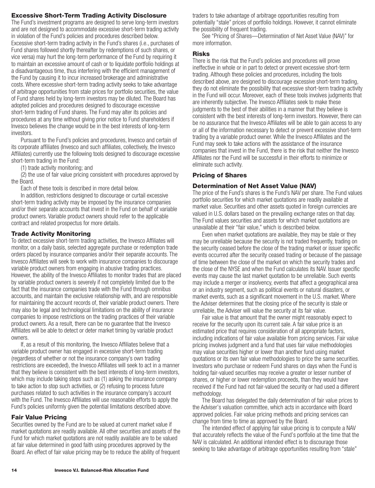## <span id="page-15-0"></span>**Excessive Short-Term Trading Activity Disclosure**

The Fund's investment programs are designed to serve long-term investors and are not designed to accommodate excessive short-term trading activity in violation of the Fund's policies and procedures described below. Excessive short-term trading activity in the Fund's shares (i.e., purchases of Fund shares followed shortly thereafter by redemptions of such shares, or vice versa) may hurt the long-term performance of the Fund by requiring it to maintain an excessive amount of cash or to liquidate portfolio holdings at a disadvantageous time, thus interfering with the efficient management of the Fund by causing it to incur increased brokerage and administrative costs. Where excessive short-term trading activity seeks to take advantage of arbitrage opportunities from stale prices for portfolio securities, the value of Fund shares held by long-term investors may be diluted. The Board has adopted policies and procedures designed to discourage excessive short-term trading of Fund shares. The Fund may alter its policies and procedures at any time without giving prior notice to Fund shareholders if Invesco believes the change would be in the best interests of long-term investors.

Pursuant to the Fund's policies and procedures, Invesco and certain of its corporate affiliates (Invesco and such affiliates, collectively, the Invesco Affiliates) currently use the following tools designed to discourage excessive short-term trading in the Fund:

(1) trade activity monitoring; and

(2) the use of fair value pricing consistent with procedures approved by the Board.

Each of these tools is described in more detail below.

In addition, restrictions designed to discourage or curtail excessive short-term trading activity may be imposed by the insurance companies and/or their separate accounts that invest in the Fund on behalf of variable product owners. Variable product owners should refer to the applicable contract and related prospectus for more details.

#### **Trade Activity Monitoring**

To detect excessive short-term trading activities, the Invesco Affiliates will monitor, on a daily basis, selected aggregate purchase or redemption trade orders placed by insurance companies and/or their separate accounts. The Invesco Affiliates will seek to work with insurance companies to discourage variable product owners from engaging in abusive trading practices. However, the ability of the Invesco Affiliates to monitor trades that are placed by variable product owners is severely if not completely limited due to the fact that the insurance companies trade with the Fund through omnibus accounts, and maintain the exclusive relationship with, and are responsible for maintaining the account records of, their variable product owners. There may also be legal and technological limitations on the ability of insurance companies to impose restrictions on the trading practices of their variable product owners. As a result, there can be no guarantee that the Invesco Affiliates will be able to detect or deter market timing by variable product owners.

If, as a result of this monitoring, the Invesco Affiliates believe that a variable product owner has engaged in excessive short-term trading (regardless of whether or not the insurance company's own trading restrictions are exceeded), the Invesco Affiliates will seek to act in a manner that they believe is consistent with the best interests of long-term investors, which may include taking steps such as (1) asking the insurance company to take action to stop such activities, or (2) refusing to process future purchases related to such activities in the insurance company's account with the Fund. The Invesco Affiliates will use reasonable efforts to apply the Fund's policies uniformly given the potential limitations described above.

## **Fair Value Pricing**

Securities owned by the Fund are to be valued at current market value if market quotations are readily available. All other securities and assets of the Fund for which market quotations are not readily available are to be valued at fair value determined in good faith using procedures approved by the Board. An effect of fair value pricing may be to reduce the ability of frequent

traders to take advantage of arbitrage opportunities resulting from potentially "stale" prices of portfolio holdings. However, it cannot eliminate the possibility of frequent trading.

See "Pricing of Shares—Determination of Net Asset Value (NAV)" for more information.

#### **Risks**

There is the risk that the Fund's policies and procedures will prove ineffective in whole or in part to detect or prevent excessive short-term trading. Although these policies and procedures, including the tools described above, are designed to discourage excessive short-term trading, they do not eliminate the possibility that excessive short-term trading activity in the Fund will occur. Moreover, each of these tools involves judgments that are inherently subjective. The Invesco Affiliates seek to make these judgments to the best of their abilities in a manner that they believe is consistent with the best interests of long-term investors. However, there can be no assurance that the Invesco Affiliates will be able to gain access to any or all of the information necessary to detect or prevent excessive short-term trading by a variable product owner. While the Invesco Affiliates and the Fund may seek to take actions with the assistance of the insurance companies that invest in the Fund, there is the risk that neither the Invesco Affiliates nor the Fund will be successful in their efforts to minimize or eliminate such activity.

## **Pricing of Shares**

#### **Determination of Net Asset Value (NAV)**

The price of the Fund's shares is the Fund's NAV per share. The Fund values portfolio securities for which market quotations are readily available at market value. Securities and other assets quoted in foreign currencies are valued in U.S. dollars based on the prevailing exchange rates on that day. The Fund values securities and assets for which market quotations are unavailable at their "fair value," which is described below.

Even when market quotations are available, they may be stale or they may be unreliable because the security is not traded frequently, trading on the security ceased before the close of the trading market or issuer specific events occurred after the security ceased trading or because of the passage of time between the close of the market on which the security trades and the close of the NYSE and when the Fund calculates its NAV. Issuer specific events may cause the last market quotation to be unreliable. Such events may include a merger or insolvency, events that affect a geographical area or an industry segment, such as political events or natural disasters, or market events, such as a significant movement in the U.S. market. Where the Adviser determines that the closing price of the security is stale or unreliable, the Adviser will value the security at its fair value.

Fair value is that amount that the owner might reasonably expect to receive for the security upon its current sale. A fair value price is an estimated price that requires consideration of all appropriate factors, including indications of fair value available from pricing services. Fair value pricing involves judgment and a fund that uses fair value methodologies may value securities higher or lower than another fund using market quotations or its own fair value methodologies to price the same securities. Investors who purchase or redeem Fund shares on days when the Fund is holding fair-valued securities may receive a greater or lesser number of shares, or higher or lower redemption proceeds, than they would have received if the Fund had not fair-valued the security or had used a different methodology.

The Board has delegated the daily determination of fair value prices to the Adviser's valuation committee, which acts in accordance with Board approved policies. Fair value pricing methods and pricing services can change from time to time as approved by the Board.

The intended effect of applying fair value pricing is to compute a NAV that accurately reflects the value of the Fund's portfolio at the time that the NAV is calculated. An additional intended effect is to discourage those seeking to take advantage of arbitrage opportunities resulting from "stale"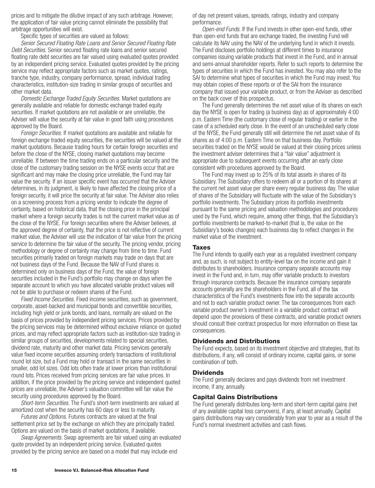<span id="page-16-0"></span>prices and to mitigate the dilutive impact of any such arbitrage. However, the application of fair value pricing cannot eliminate the possibility that arbitrage opportunities will exist.

Specific types of securities are valued as follows:

*Senior Secured Floating Rate Loans and Senior Secured Floating Rate Debt Securities.* Senior secured floating rate loans and senior secured floating rate debt securities are fair valued using evaluated quotes provided by an independent pricing service. Evaluated quotes provided by the pricing service may reflect appropriate factors such as market quotes, ratings, tranche type, industry, company performance, spread, individual trading characteristics, institution-size trading in similar groups of securities and other market data.

*Domestic Exchange Traded Equity Securities.* Market quotations are generally available and reliable for domestic exchange traded equity securities. If market quotations are not available or are unreliable, the Adviser will value the security at fair value in good faith using procedures approved by the Board.

*Foreign Securities.* If market quotations are available and reliable for foreign exchange traded equity securities, the securities will be valued at the market quotations. Because trading hours for certain foreign securities end before the close of the NYSE, closing market quotations may become unreliable. If between the time trading ends on a particular security and the close of the customary trading session on the NYSE events occur that are significant and may make the closing price unreliable, the Fund may fair value the security. If an issuer specific event has occurred that the Adviser determines, in its judgment, is likely to have affected the closing price of a foreign security, it will price the security at fair value. The Adviser also relies on a screening process from a pricing vendor to indicate the degree of certainty, based on historical data, that the closing price in the principal market where a foreign security trades is not the current market value as of the close of the NYSE. For foreign securities where the Adviser believes, at the approved degree of certainty, that the price is not reflective of current market value, the Adviser will use the indication of fair value from the pricing service to determine the fair value of the security. The pricing vendor, pricing methodology or degree of certainty may change from time to time. Fund securities primarily traded on foreign markets may trade on days that are not business days of the Fund. Because the NAV of Fund shares is determined only on business days of the Fund, the value of foreign securities included in the Fund's portfolio may change on days when the separate account to which you have allocated variable product values will not be able to purchase or redeem shares of the Fund.

*Fixed Income Securities.* Fixed income securities, such as government, corporate, asset-backed and municipal bonds and convertible securities, including high yield or junk bonds, and loans, normally are valued on the basis of prices provided by independent pricing services. Prices provided by the pricing services may be determined without exclusive reliance on quoted prices, and may reflect appropriate factors such as institution-size trading in similar groups of securities, developments related to special securities, dividend rate, maturity and other market data. Pricing services generally value fixed income securities assuming orderly transactions of institutional round lot size, but a Fund may hold or transact in the same securities in smaller, odd lot sizes. Odd lots often trade at lower prices than institutional round lots. Prices received from pricing services are fair value prices. In addition, if the price provided by the pricing service and independent quoted prices are unreliable, the Adviser's valuation committee will fair value the security using procedures approved by the Board.

*Short-term Securities.* The Fund's short-term investments are valued at amortized cost when the security has 60 days or less to maturity.

*Futures and Options.* Futures contracts are valued at the final settlement price set by the exchange on which they are principally traded. Options are valued on the basis of market quotations, if available.

*Swap Agreements.* Swap agreements are fair valued using an evaluated quote provided by an independent pricing service. Evaluated quotes provided by the pricing service are based on a model that may include end

of day net present values, spreads, ratings, industry and company performance.

*Open-end Funds.* If the Fund invests in other open-end funds, other than open-end funds that are exchange traded, the investing Fund will calculate its NAV using the NAV of the underlying fund in which it invests. The Fund discloses portfolio holdings at different times to insurance companies issuing variable products that invest in the Fund, and in annual and semi-annual shareholder reports. Refer to such reports to determine the types of securities in which the Fund has invested. You may also refer to the SAI to determine what types of securities in which the Fund may invest. You may obtain copies of these reports or of the SAI from the insurance company that issued your variable product, or from the Adviser as described on the back cover of this prospectus.

The Fund generally determines the net asset value of its shares on each day the NYSE is open for trading (a business day) as of approximately 4:00 p.m. Eastern Time (the customary close of regular trading) or earlier in the case of a scheduled early close. In the event of an unscheduled early close of the NYSE, the Fund generally still will determine the net asset value of its shares as of 4:00 p.m. Eastern Time on that business day. Portfolio securities traded on the NYSE would be valued at their closing prices unless the investment adviser determines that a "fair value" adjustment is appropriate due to subsequent events occurring after an early close consistent with procedures approved by the Board.

The Fund may invest up to 25% of its total assets in shares of its Subsidiary. The Subsidiary offers to redeem all or a portion of its shares at the current net asset value per share every regular business day. The value of shares of the Subsidiary will fluctuate with the value of the Subsidiary's portfolio investments. The Subsidiary prices its portfolio investments pursuant to the same pricing and valuation methodologies and procedures used by the Fund, which require, among other things, that the Subsidiary's portfolio investments be marked-to-market (that is, the value on the Subsidiary's books changes) each business day to reflect changes in the market value of the investment.

## **Taxes**

The Fund intends to qualify each year as a regulated investment company and, as such, is not subject to entity-level tax on the income and gain it distributes to shareholders. Insurance company separate accounts may invest in the Fund and, in turn, may offer variable products to investors through insurance contracts. Because the insurance company separate accounts generally are the shareholders in the Fund, all of the tax characteristics of the Fund's investments flow into the separate accounts and not to each variable product owner. The tax consequences from each variable product owner's investment in a variable product contract will depend upon the provisions of these contracts, and variable product owners should consult their contract prospectus for more information on these tax consequences.

## **Dividends and Distributions**

The Fund expects, based on its investment objective and strategies, that its distributions, if any, will consist of ordinary income, capital gains, or some combination of both.

## **Dividends**

The Fund generally declares and pays dividends from net investment income, if any, annually.

## **Capital Gains Distributions**

The Fund generally distributes long-term and short-term capital gains (net of any available capital loss carryovers), if any, at least annually. Capital gains distributions may vary considerably from year to year as a result of the Fund's normal investment activities and cash flows.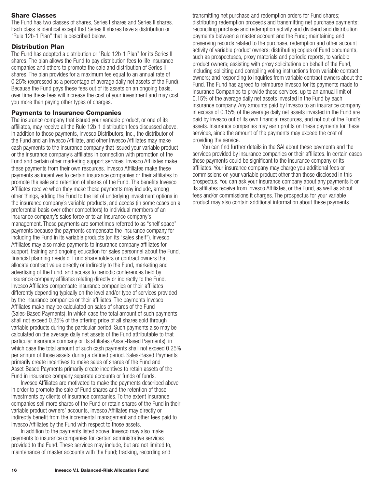## <span id="page-17-0"></span>**Share Classes**

The Fund has two classes of shares, Series I shares and Series II shares. Each class is identical except that Series II shares have a distribution or "Rule 12b-1 Plan" that is described below.

## **Distribution Plan**

The Fund has adopted a distribution or "Rule 12b-1 Plan" for its Series II shares. The plan allows the Fund to pay distribution fees to life insurance companies and others to promote the sale and distribution of Series II shares. The plan provides for a maximum fee equal to an annual rate of 0.25% (expressed as a percentage of average daily net assets of the Fund). Because the Fund pays these fees out of its assets on an ongoing basis, over time these fees will increase the cost of your investment and may cost you more than paying other types of charges.

## **Payments to Insurance Companies**

The insurance company that issued your variable product, or one of its affiliates, may receive all the Rule 12b-1 distribution fees discussed above. In addition to those payments, Invesco Distributors, Inc., the distributor of the Fund and an Invesco Affiliate, and other Invesco Affiliates may make cash payments to the insurance company that issued your variable product or the insurance company's affiliates in connection with promotion of the Fund and certain other marketing support services. Invesco Affiliates make these payments from their own resources. Invesco Affiliates make these payments as incentives to certain insurance companies or their affiliates to promote the sale and retention of shares of the Fund. The benefits Invesco Affiliates receive when they make these payments may include, among other things, adding the Fund to the list of underlying investment options in the insurance company's variable products, and access (in some cases on a preferential basis over other competitors) to individual members of an insurance company's sales force or to an insurance company's management. These payments are sometimes referred to as "shelf space" payments because the payments compensate the insurance company for including the Fund in its variable products (on its "sales shelf"). Invesco Affiliates may also make payments to insurance company affiliates for support, training and ongoing education for sales personnel about the Fund, financial planning needs of Fund shareholders or contract owners that allocate contract value directly or indirectly to the Fund, marketing and advertising of the Fund, and access to periodic conferences held by insurance company affiliates relating directly or indirectly to the Fund. Invesco Affiliates compensate insurance companies or their affiliates differently depending typically on the level and/or type of services provided by the insurance companies or their affiliates. The payments Invesco Affiliates make may be calculated on sales of shares of the Fund (Sales-Based Payments), in which case the total amount of such payments shall not exceed 0.25% of the offering price of all shares sold through variable products during the particular period. Such payments also may be calculated on the average daily net assets of the Fund attributable to that particular insurance company or its affiliates (Asset-Based Payments), in which case the total amount of such cash payments shall not exceed 0.25% per annum of those assets during a defined period. Sales-Based Payments primarily create incentives to make sales of shares of the Fund and Asset-Based Payments primarily create incentives to retain assets of the Fund in insurance company separate accounts or funds of funds.

Invesco Affiliates are motivated to make the payments described above in order to promote the sale of Fund shares and the retention of those investments by clients of insurance companies. To the extent insurance companies sell more shares of the Fund or retain shares of the Fund in their variable product owners' accounts, Invesco Affiliates may directly or indirectly benefit from the incremental management and other fees paid to Invesco Affiliates by the Fund with respect to those assets.

In addition to the payments listed above, Invesco may also make payments to insurance companies for certain administrative services provided to the Fund. These services may include, but are not limited to, maintenance of master accounts with the Fund; tracking, recording and

transmitting net purchase and redemption orders for Fund shares; distributing redemption proceeds and transmitting net purchase payments; reconciling purchase and redemption activity and dividend and distribution payments between a master account and the Fund; maintaining and preserving records related to the purchase, redemption and other account activity of variable product owners; distributing copies of Fund documents, such as prospectuses, proxy materials and periodic reports, to variable product owners; assisting with proxy solicitations on behalf of the Fund, including soliciting and compiling voting instructions from variable contract owners; and responding to inquiries from variable contract owners about the Fund. The Fund has agreed to reimburse Invesco for its payments made to Insurance Companies to provide these services, up to an annual limit of 0.15% of the average daily net assets invested in the Fund by each insurance company. Any amounts paid by Invesco to an insurance company in excess of 0.15% of the average daily net assets invested in the Fund are paid by Invesco out of its own financial resources, and not out of the Fund's assets. Insurance companies may earn profits on these payments for these services, since the amount of the payments may exceed the cost of providing the service.

You can find further details in the SAI about these payments and the services provided by insurance companies or their affiliates. In certain cases these payments could be significant to the insurance company or its affiliates. Your insurance company may charge you additional fees or commissions on your variable product other than those disclosed in this prospectus. You can ask your insurance company about any payments it or its affiliates receive from Invesco Affiliates, or the Fund, as well as about fees and/or commissions it charges. The prospectus for your variable product may also contain additional information about these payments.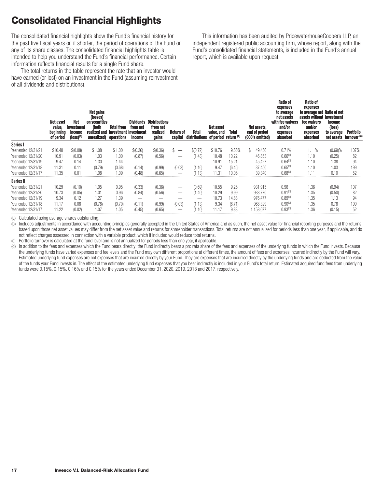# <span id="page-18-0"></span>**Consolidated Financial Highlights**

The consolidated financial highlights show the Fund's financial history for the past five fiscal years or, if shorter, the period of operations of the Fund or any of its share classes. The consolidated financial highlights table is intended to help you understand the Fund's financial performance. Certain information reflects financial results for a single Fund share.

The total returns in the table represent the rate that an investor would have earned (or lost) on an investment in the Fund (assuming reinvestment of all dividends and distributions).

This information has been audited by PricewaterhouseCoopers LLP, an independent registered public accounting firm, whose report, along with the Fund's consolidated financial statements, is included in the Fund's annual report, which is available upon request.

|                     | Net asset<br>value,<br>beginning<br>of period | Net<br>investment<br>income<br>$(logs)^{(a)}$ | <b>Net gains</b><br>(losses)<br>on securities<br>(both<br>realized and investment investment<br>unrealized) operations | <b>Total from</b> | Dividends<br>from net<br>income | <b>Distributions</b><br>from net<br>realized<br>gains | Return of<br>capital     | <b>Total</b><br>distributions of period return (b) | <b>Net asset</b><br>value, end | <b>Total</b> | Net assets,<br>end of period<br>(000's omitted) | <b>Ratio of</b><br>expenses<br>to average<br>net assets<br>with fee waivers<br>and/or<br>expenses<br>absorbed | <b>Ratio of</b><br>expenses<br>to average net Ratio of net<br>assets without investment<br>fee waivers<br>and/or<br>expenses<br>absorbed | income<br>(loss)<br>to average<br>net assets turnover <sup>(c)</sup> | <b>Portfolio</b> |
|---------------------|-----------------------------------------------|-----------------------------------------------|------------------------------------------------------------------------------------------------------------------------|-------------------|---------------------------------|-------------------------------------------------------|--------------------------|----------------------------------------------------|--------------------------------|--------------|-------------------------------------------------|---------------------------------------------------------------------------------------------------------------|------------------------------------------------------------------------------------------------------------------------------------------|----------------------------------------------------------------------|------------------|
| Series I            |                                               |                                               |                                                                                                                        |                   |                                 |                                                       |                          |                                                    |                                |              |                                                 |                                                                                                               |                                                                                                                                          |                                                                      |                  |
| Year ended 12/31/21 | \$10.48                                       | \$(0.08)                                      | \$1.08                                                                                                                 | \$1.00            | \$(0.36)                        | \$(0.36)                                              |                          | \$(0.72)                                           | \$10.76                        | 9.55%        | \$<br>49,456                                    | 0.71%                                                                                                         | 1.11%                                                                                                                                    | (0.69)%                                                              | 107%             |
| Year ended 12/31/20 | 10.91                                         | (0.03)                                        | 1.03                                                                                                                   | 1.00              | (0.87)                          | (0.56)                                                |                          | (1.43)                                             | 10.48                          | 10.22        | 46,853                                          | 0.66 <sup>(d)</sup>                                                                                           | 1.10                                                                                                                                     | (0.25)                                                               | 82               |
| Year ended 12/31/19 | 9.47                                          | 0.14                                          | 1.30                                                                                                                   | 1.44              | _                               | _                                                     | _                        | -                                                  | 10.91                          | 15.21        | 45.427                                          | 0.64 <sup>(d)</sup>                                                                                           | 1.10                                                                                                                                     | ∣.38                                                                 | 94               |
| Year ended 12/31/18 | 11.31                                         | 0.11                                          | (0.79)                                                                                                                 | (0.68)            | (0.14)                          | (0.99)                                                | (0.03)                   | (1.16)                                             | 9.47                           | (6.46)       | 37,450                                          | 0.65 <sup>(d)</sup>                                                                                           | 1.10                                                                                                                                     | 1.03                                                                 | 199              |
| Year ended 12/31/17 | 11.35                                         | 0.01                                          | 1.08                                                                                                                   | 1.09              | (0.48                           | (0.65)                                                |                          | (1.13)                                             | 11.31                          | 10.06        | 39.340                                          | 0.68 <sup>(d)</sup>                                                                                           | 1.11                                                                                                                                     | 0.10                                                                 | 52               |
| Series II           |                                               |                                               |                                                                                                                        |                   |                                 |                                                       |                          |                                                    |                                |              |                                                 |                                                                                                               |                                                                                                                                          |                                                                      |                  |
| Year ended 12/31/21 | 10.29                                         | (0.10)                                        | 1.05                                                                                                                   | 0.95              | (0.33)                          | (0.36)                                                |                          | (0.69)                                             | 10.55                          | 9.26         | 931,915                                         | 0.96                                                                                                          | 1.36                                                                                                                                     | (0.94)                                                               | 107              |
| Year ended 12/31/20 | 10.73                                         | (0.05)                                        | 1.01                                                                                                                   | 0.96              | (0.84)                          | (0.56)                                                | –                        | (1.40)                                             | 10.29                          | 9.99         | 933,770                                         | 0.91 <sup>(d)</sup>                                                                                           | 1.35                                                                                                                                     | (0.50)                                                               | 82               |
| Year ended 12/31/19 | 9.34                                          | 0.12                                          | 1.27                                                                                                                   | .39               | –                               | -                                                     | $\overline{\phantom{a}}$ |                                                    | 10.73                          | 14.88        | 976,477                                         | 0.89 <sup>(d)</sup>                                                                                           | 1.35                                                                                                                                     | 1.13                                                                 | 94               |
| Year ended 12/31/18 | 11.17                                         | 0.08                                          | (0.78)                                                                                                                 | (0.70)            | (0.11)                          | (0.99)                                                | (0.03)                   | (1.13)                                             | 9.34                           | (6.71)       | 968,329                                         | 0.90 <sup>(d)</sup>                                                                                           | 1.35                                                                                                                                     | 0.78                                                                 | 199              |
| Year ended 12/31/17 | 11.22                                         | (0.02)                                        | 1.07                                                                                                                   | .05               | 0.45                            | (0.65)                                                |                          | (1.10                                              | 11.17                          | 9.83         | .158.077                                        | 0.93 <sup>(d)</sup>                                                                                           | 1.36                                                                                                                                     | (0.15)                                                               | 52               |

(a) Calculated using average shares outstanding.

(b) Includes adjustments in accordance with accounting principles generally accepted in the United States of America and as such, the net asset value for financial reporting purposes and the returns based upon those net asset values may differ from the net asset value and returns for shareholder transactions. Total returns are not annualized for periods less than one year, if applicable, and do not reflect charges assessed in connection with a variable product, which if included would reduce total returns.

(c) Portfolio turnover is calculated at the fund level and is not annualized for periods less than one year, if applicable.

(d) In addition to the fees and expenses which the Fund bears directly; the Fund indirectly bears a pro rata share of the fees and expenses of the underlying funds in which the Fund invests. Because the underlying funds have varied expenses and fee levels and the Fund may own different proportions at different times, the amount of fees and expenses incurred indirectly by the Fund will vary. Estimated underlying fund expenses are not expenses that are incurred directly by your Fund. They are expenses that are incurred directly by the underlying funds and are deducted from the value of the funds your Fund invests in. The effect of the estimated underlying fund expenses that you bear indirectly is included in your Fund's total return. Estimated acquired fund fees from underlying funds were 0.15%, 0.15%, 0.16% and 0.15% for the years ended December 31, 2020, 2019, 2018 and 2017, respectively.